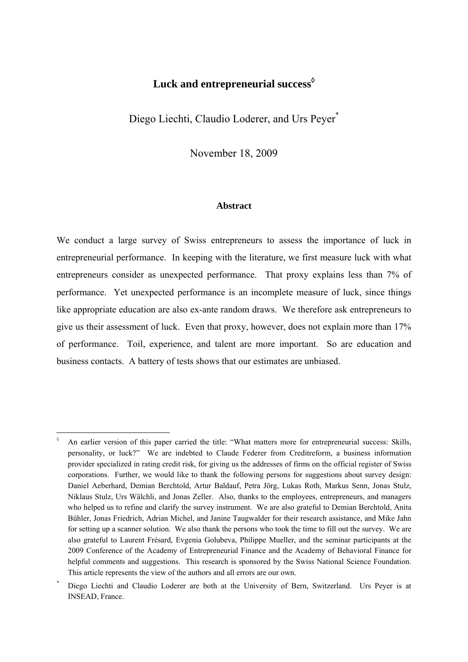# **Luck and entrepreneurial success**

Diego Liechti, Claudio Loderer, and Urs Peyer\*

November 18, 2009

### **Abstract**

We conduct a large survey of Swiss entrepreneurs to assess the importance of luck in entrepreneurial performance. In keeping with the literature, we first measure luck with what entrepreneurs consider as unexpected performance. That proxy explains less than 7% of performance. Yet unexpected performance is an incomplete measure of luck, since things like appropriate education are also ex-ante random draws. We therefore ask entrepreneurs to give us their assessment of luck. Even that proxy, however, does not explain more than 17% of performance. Toil, experience, and talent are more important. So are education and business contacts. A battery of tests shows that our estimates are unbiased.

1

<sup>♦</sup>  An earlier version of this paper carried the title: "What matters more for entrepreneurial success: Skills, personality, or luck?" We are indebted to Claude Federer from Creditreform, a business information provider specialized in rating credit risk, for giving us the addresses of firms on the official register of Swiss corporations. Further, we would like to thank the following persons for suggestions about survey design: Daniel Aeberhard, Demian Berchtold, Artur Baldauf, Petra Jörg, Lukas Roth, Markus Senn, Jonas Stulz, Niklaus Stulz, Urs Wälchli, and Jonas Zeller. Also, thanks to the employees, entrepreneurs, and managers who helped us to refine and clarify the survey instrument. We are also grateful to Demian Berchtold, Anita Bühler, Jonas Friedrich, Adrian Michel, and Janine Taugwalder for their research assistance, and Mike Jahn for setting up a scanner solution. We also thank the persons who took the time to fill out the survey. We are also grateful to Laurent Frésard, Evgenia Golubeva, Philippe Mueller, and the seminar participants at the 2009 Conference of the Academy of Entrepreneurial Finance and the Academy of Behavioral Finance for helpful comments and suggestions. This research is sponsored by the Swiss National Science Foundation. This article represents the view of the authors and all errors are our own.

<sup>\*</sup> Diego Liechti and Claudio Loderer are both at the University of Bern, Switzerland. Urs Peyer is at INSEAD, France.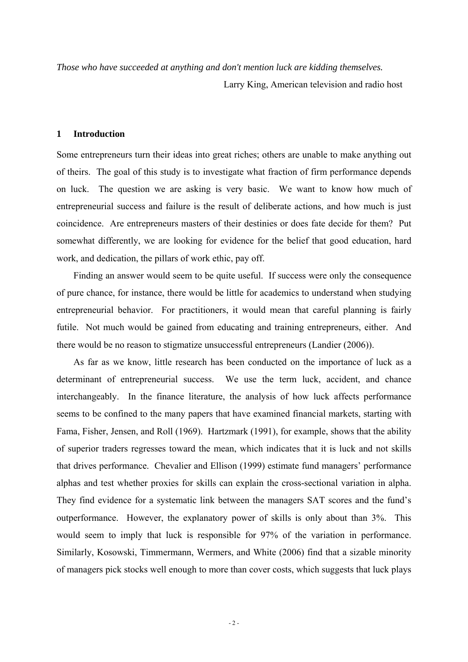*Those who have succeeded at anything and don't mention luck are kidding themselves.* 

Larry King, American television and radio host

# **1 Introduction**

Some entrepreneurs turn their ideas into great riches; others are unable to make anything out of theirs. The goal of this study is to investigate what fraction of firm performance depends on luck. The question we are asking is very basic. We want to know how much of entrepreneurial success and failure is the result of deliberate actions, and how much is just coincidence. Are entrepreneurs masters of their destinies or does fate decide for them? Put somewhat differently, we are looking for evidence for the belief that good education, hard work, and dedication, the pillars of work ethic, pay off.

Finding an answer would seem to be quite useful. If success were only the consequence of pure chance, for instance, there would be little for academics to understand when studying entrepreneurial behavior. For practitioners, it would mean that careful planning is fairly futile. Not much would be gained from educating and training entrepreneurs, either. And there would be no reason to stigmatize unsuccessful entrepreneurs (Landier (2006)).

As far as we know, little research has been conducted on the importance of luck as a determinant of entrepreneurial success. We use the term luck, accident, and chance interchangeably. In the finance literature, the analysis of how luck affects performance seems to be confined to the many papers that have examined financial markets, starting with Fama, Fisher, Jensen, and Roll (1969). Hartzmark (1991), for example, shows that the ability of superior traders regresses toward the mean, which indicates that it is luck and not skills that drives performance. Chevalier and Ellison (1999) estimate fund managers' performance alphas and test whether proxies for skills can explain the cross-sectional variation in alpha. They find evidence for a systematic link between the managers SAT scores and the fund's outperformance. However, the explanatory power of skills is only about than 3%. This would seem to imply that luck is responsible for 97% of the variation in performance. Similarly, Kosowski, Timmermann, Wermers, and White (2006) find that a sizable minority of managers pick stocks well enough to more than cover costs, which suggests that luck plays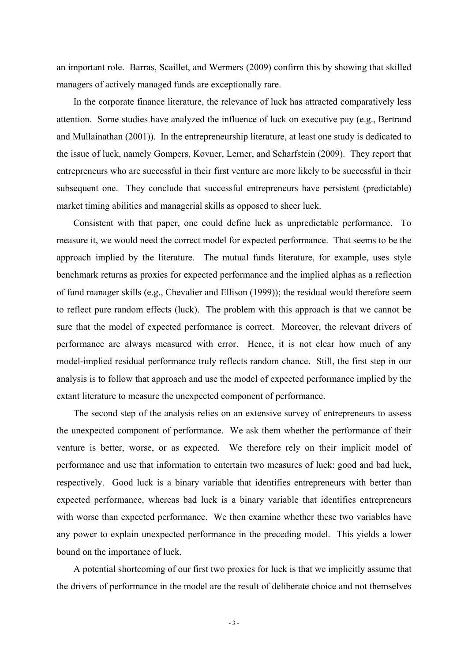an important role. Barras, Scaillet, and Wermers (2009) confirm this by showing that skilled managers of actively managed funds are exceptionally rare.

In the corporate finance literature, the relevance of luck has attracted comparatively less attention. Some studies have analyzed the influence of luck on executive pay (e.g., Bertrand and Mullainathan (2001)). In the entrepreneurship literature, at least one study is dedicated to the issue of luck, namely Gompers, Kovner, Lerner, and Scharfstein (2009). They report that entrepreneurs who are successful in their first venture are more likely to be successful in their subsequent one. They conclude that successful entrepreneurs have persistent (predictable) market timing abilities and managerial skills as opposed to sheer luck.

Consistent with that paper, one could define luck as unpredictable performance. To measure it, we would need the correct model for expected performance. That seems to be the approach implied by the literature. The mutual funds literature, for example, uses style benchmark returns as proxies for expected performance and the implied alphas as a reflection of fund manager skills (e.g., Chevalier and Ellison (1999)); the residual would therefore seem to reflect pure random effects (luck). The problem with this approach is that we cannot be sure that the model of expected performance is correct. Moreover, the relevant drivers of performance are always measured with error. Hence, it is not clear how much of any model-implied residual performance truly reflects random chance. Still, the first step in our analysis is to follow that approach and use the model of expected performance implied by the extant literature to measure the unexpected component of performance.

The second step of the analysis relies on an extensive survey of entrepreneurs to assess the unexpected component of performance. We ask them whether the performance of their venture is better, worse, or as expected. We therefore rely on their implicit model of performance and use that information to entertain two measures of luck: good and bad luck, respectively. Good luck is a binary variable that identifies entrepreneurs with better than expected performance, whereas bad luck is a binary variable that identifies entrepreneurs with worse than expected performance. We then examine whether these two variables have any power to explain unexpected performance in the preceding model. This yields a lower bound on the importance of luck.

A potential shortcoming of our first two proxies for luck is that we implicitly assume that the drivers of performance in the model are the result of deliberate choice and not themselves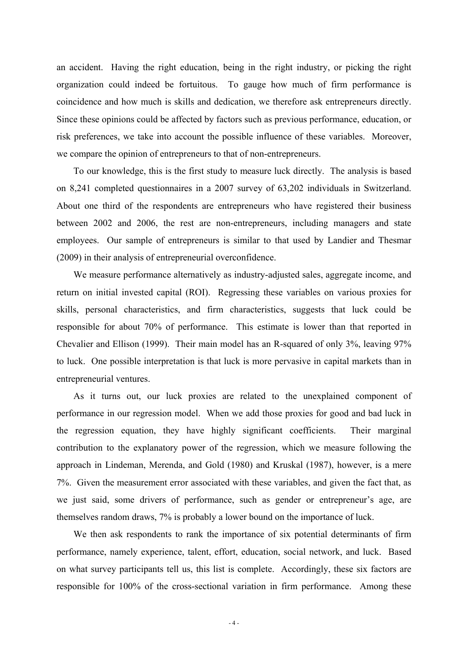an accident. Having the right education, being in the right industry, or picking the right organization could indeed be fortuitous. To gauge how much of firm performance is coincidence and how much is skills and dedication, we therefore ask entrepreneurs directly. Since these opinions could be affected by factors such as previous performance, education, or risk preferences, we take into account the possible influence of these variables. Moreover, we compare the opinion of entrepreneurs to that of non-entrepreneurs.

To our knowledge, this is the first study to measure luck directly. The analysis is based on 8,241 completed questionnaires in a 2007 survey of 63,202 individuals in Switzerland. About one third of the respondents are entrepreneurs who have registered their business between 2002 and 2006, the rest are non-entrepreneurs, including managers and state employees. Our sample of entrepreneurs is similar to that used by Landier and Thesmar (2009) in their analysis of entrepreneurial overconfidence.

We measure performance alternatively as industry-adjusted sales, aggregate income, and return on initial invested capital (ROI). Regressing these variables on various proxies for skills, personal characteristics, and firm characteristics, suggests that luck could be responsible for about 70% of performance. This estimate is lower than that reported in Chevalier and Ellison (1999). Their main model has an R-squared of only 3%, leaving 97% to luck. One possible interpretation is that luck is more pervasive in capital markets than in entrepreneurial ventures.

As it turns out, our luck proxies are related to the unexplained component of performance in our regression model. When we add those proxies for good and bad luck in the regression equation, they have highly significant coefficients. Their marginal contribution to the explanatory power of the regression, which we measure following the approach in Lindeman, Merenda, and Gold (1980) and Kruskal (1987), however, is a mere 7%. Given the measurement error associated with these variables, and given the fact that, as we just said, some drivers of performance, such as gender or entrepreneur's age, are themselves random draws, 7% is probably a lower bound on the importance of luck.

We then ask respondents to rank the importance of six potential determinants of firm performance, namely experience, talent, effort, education, social network, and luck. Based on what survey participants tell us, this list is complete. Accordingly, these six factors are responsible for 100% of the cross-sectional variation in firm performance. Among these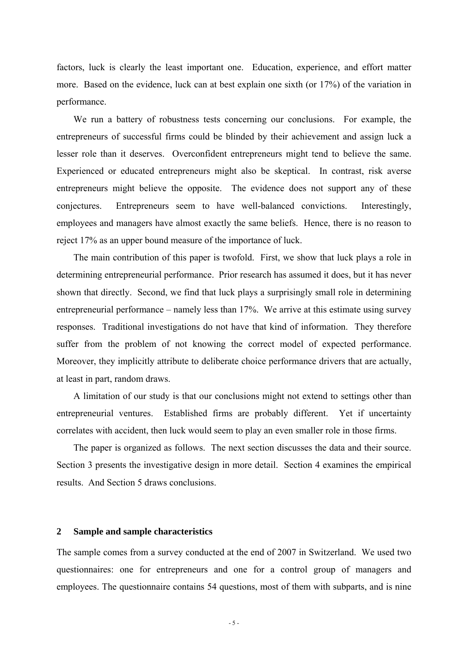factors, luck is clearly the least important one. Education, experience, and effort matter more. Based on the evidence, luck can at best explain one sixth (or 17%) of the variation in performance.

We run a battery of robustness tests concerning our conclusions. For example, the entrepreneurs of successful firms could be blinded by their achievement and assign luck a lesser role than it deserves. Overconfident entrepreneurs might tend to believe the same. Experienced or educated entrepreneurs might also be skeptical. In contrast, risk averse entrepreneurs might believe the opposite. The evidence does not support any of these conjectures. Entrepreneurs seem to have well-balanced convictions. Interestingly, employees and managers have almost exactly the same beliefs. Hence, there is no reason to reject 17% as an upper bound measure of the importance of luck.

The main contribution of this paper is twofold. First, we show that luck plays a role in determining entrepreneurial performance. Prior research has assumed it does, but it has never shown that directly. Second, we find that luck plays a surprisingly small role in determining entrepreneurial performance – namely less than 17%. We arrive at this estimate using survey responses. Traditional investigations do not have that kind of information. They therefore suffer from the problem of not knowing the correct model of expected performance. Moreover, they implicitly attribute to deliberate choice performance drivers that are actually, at least in part, random draws.

A limitation of our study is that our conclusions might not extend to settings other than entrepreneurial ventures. Established firms are probably different. Yet if uncertainty correlates with accident, then luck would seem to play an even smaller role in those firms.

The paper is organized as follows. The next section discusses the data and their source. Section 3 presents the investigative design in more detail. Section 4 examines the empirical results. And Section 5 draws conclusions.

### **2 Sample and sample characteristics**

The sample comes from a survey conducted at the end of 2007 in Switzerland. We used two questionnaires: one for entrepreneurs and one for a control group of managers and employees. The questionnaire contains 54 questions, most of them with subparts, and is nine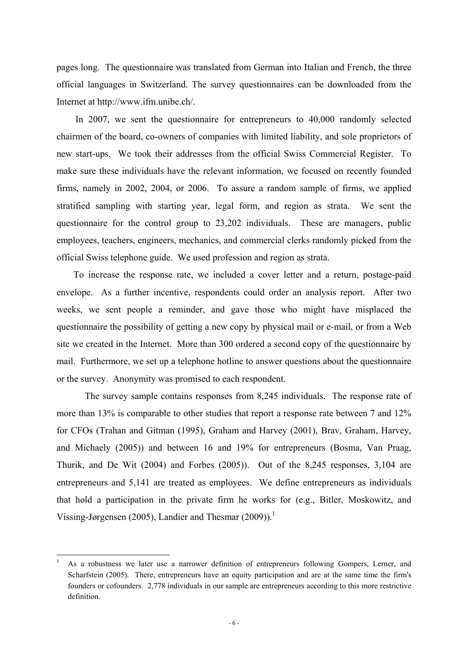pages long. The questionnaire was translated from German into Italian and French, the three official languages in Switzerland. The survey questionnaires can be downloaded from the Internet at http://www.ifm.unibe.ch/.

In 2007, we sent the questionnaire for entrepreneurs to 40,000 randomly selected chairmen of the board, co-owners of companies with limited liability, and sole proprietors of new start-ups. We took their addresses from the official Swiss Commercial Register. To make sure these individuals have the relevant information, we focused on recently founded firms, namely in 2002, 2004, or 2006. To assure a random sample of firms, we applied stratified sampling with starting year, legal form, and region as strata. We sent the questionnaire for the control group to 23,202 individuals. These are managers, public employees, teachers, engineers, mechanics, and commercial clerks randomly picked from the official Swiss telephone guide. We used profession and region as strata.

To increase the response rate, we included a cover letter and a return, postage-paid envelope. As a further incentive, respondents could order an analysis report. After two weeks, we sent people a reminder, and gave those who might have misplaced the questionnaire the possibility of getting a new copy by physical mail or e-mail, or from a Web site we created in the Internet. More than 300 ordered a second copy of the questionnaire by mail. Furthermore, we set up a telephone hotline to answer questions about the questionnaire or the survey. Anonymity was promised to each respondent.

The survey sample contains responses from 8,245 individuals. The response rate of more than 13% is comparable to other studies that report a response rate between 7 and 12% for CFOs (Trahan and Gitman (1995), Graham and Harvey (2001), Brav, Graham, Harvey, and Michaely (2005)) and between 16 and 19% for entrepreneurs (Bosma, Van Praag, Thurik, and De Wit (2004) and Forbes (2005)). Out of the 8,245 responses, 3,104 are entrepreneurs and 5,141 are treated as employees. We define entrepreneurs as individuals that hold a participation in the private firm he works for (e.g., Bitler, Moskowitz, and Vissing-Jørgensen (2005), Landier and Thesmar (2009)).<sup>1</sup>

1

<sup>1</sup> As a robustness we later use a narrower definition of entrepreneurs following Gompers, Lerner, and Scharfstein (2005). There, entrepreneurs have an equity participation and are at the same time the firm's founders or cofounders. 2,778 individuals in our sample are entrepreneurs according to this more restrictive definition.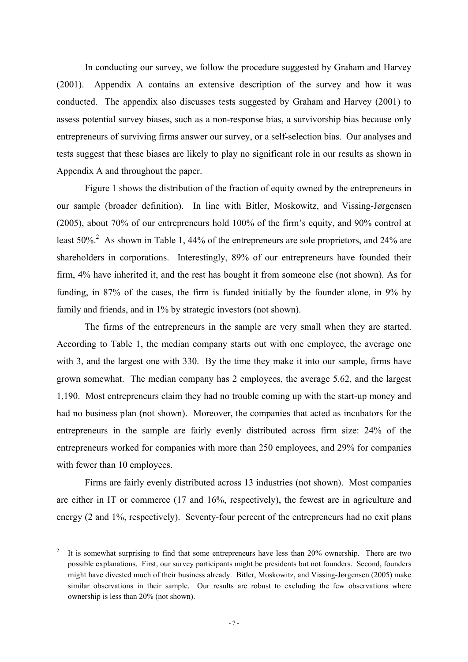In conducting our survey, we follow the procedure suggested by Graham and Harvey (2001). Appendix A contains an extensive description of the survey and how it was conducted. The appendix also discusses tests suggested by Graham and Harvey (2001) to assess potential survey biases, such as a non-response bias, a survivorship bias because only entrepreneurs of surviving firms answer our survey, or a self-selection bias. Our analyses and tests suggest that these biases are likely to play no significant role in our results as shown in Appendix A and throughout the paper.

Figure 1 shows the distribution of the fraction of equity owned by the entrepreneurs in our sample (broader definition). In line with Bitler, Moskowitz, and Vissing-Jørgensen (2005), about 70% of our entrepreneurs hold 100% of the firm's equity, and 90% control at least  $50\%$ <sup>2</sup> As shown in Table 1, 44% of the entrepreneurs are sole proprietors, and 24% are shareholders in corporations. Interestingly, 89% of our entrepreneurs have founded their firm, 4% have inherited it, and the rest has bought it from someone else (not shown). As for funding, in 87% of the cases, the firm is funded initially by the founder alone, in 9% by family and friends, and in 1% by strategic investors (not shown).

The firms of the entrepreneurs in the sample are very small when they are started. According to Table 1, the median company starts out with one employee, the average one with 3, and the largest one with 330. By the time they make it into our sample, firms have grown somewhat. The median company has 2 employees, the average 5.62, and the largest 1,190. Most entrepreneurs claim they had no trouble coming up with the start-up money and had no business plan (not shown). Moreover, the companies that acted as incubators for the entrepreneurs in the sample are fairly evenly distributed across firm size: 24% of the entrepreneurs worked for companies with more than 250 employees, and 29% for companies with fewer than 10 employees.

Firms are fairly evenly distributed across 13 industries (not shown). Most companies are either in IT or commerce (17 and 16%, respectively), the fewest are in agriculture and energy (2 and 1%, respectively). Seventy-four percent of the entrepreneurs had no exit plans

1

<sup>2</sup> It is somewhat surprising to find that some entrepreneurs have less than 20% ownership. There are two possible explanations. First, our survey participants might be presidents but not founders. Second, founders might have divested much of their business already. Bitler, Moskowitz, and Vissing-Jørgensen (2005) make similar observations in their sample. Our results are robust to excluding the few observations where ownership is less than 20% (not shown).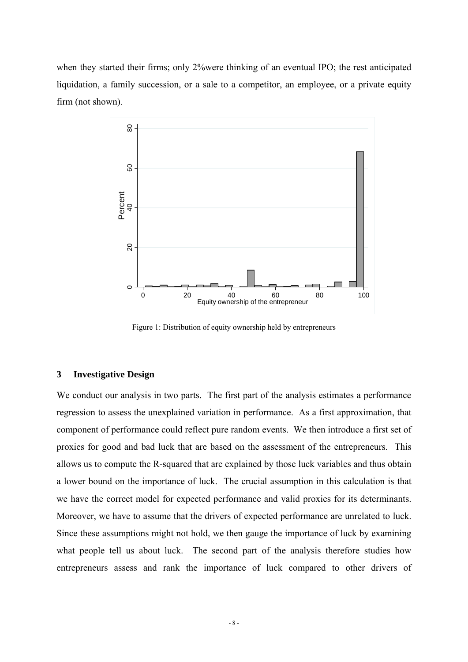when they started their firms; only 2%were thinking of an eventual IPO; the rest anticipated liquidation, a family succession, or a sale to a competitor, an employee, or a private equity firm (not shown).



Figure 1: Distribution of equity ownership held by entrepreneurs

# **3 Investigative Design**

We conduct our analysis in two parts. The first part of the analysis estimates a performance regression to assess the unexplained variation in performance. As a first approximation, that component of performance could reflect pure random events. We then introduce a first set of proxies for good and bad luck that are based on the assessment of the entrepreneurs. This allows us to compute the R-squared that are explained by those luck variables and thus obtain a lower bound on the importance of luck. The crucial assumption in this calculation is that we have the correct model for expected performance and valid proxies for its determinants. Moreover, we have to assume that the drivers of expected performance are unrelated to luck. Since these assumptions might not hold, we then gauge the importance of luck by examining what people tell us about luck. The second part of the analysis therefore studies how entrepreneurs assess and rank the importance of luck compared to other drivers of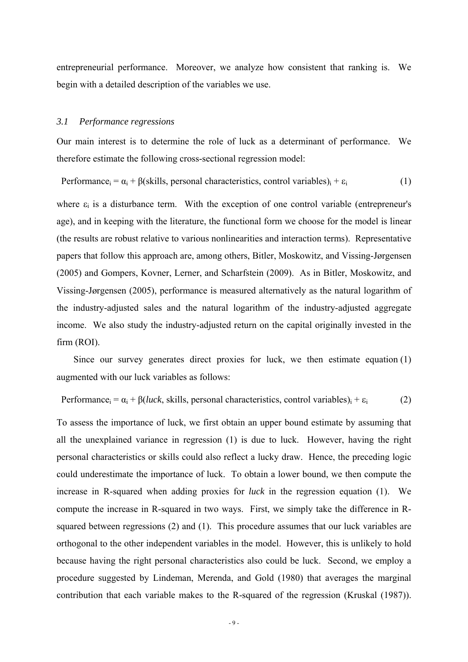entrepreneurial performance. Moreover, we analyze how consistent that ranking is. We begin with a detailed description of the variables we use.

### *3.1 Performance regressions*

Our main interest is to determine the role of luck as a determinant of performance. We therefore estimate the following cross-sectional regression model:

Performance<sub>i</sub> =  $\alpha_i$  + β(skills, personal characteristics, control variables)<sub>i</sub> +  $\varepsilon_i$  (1)

where  $\varepsilon_i$  is a disturbance term. With the exception of one control variable (entrepreneur's age), and in keeping with the literature, the functional form we choose for the model is linear (the results are robust relative to various nonlinearities and interaction terms). Representative papers that follow this approach are, among others, Bitler, Moskowitz, and Vissing-Jørgensen (2005) and Gompers, Kovner, Lerner, and Scharfstein (2009). As in Bitler, Moskowitz, and Vissing-Jørgensen (2005), performance is measured alternatively as the natural logarithm of the industry-adjusted sales and the natural logarithm of the industry-adjusted aggregate income. We also study the industry-adjusted return on the capital originally invested in the firm (ROI).

Since our survey generates direct proxies for luck, we then estimate equation (1) augmented with our luck variables as follows:

Performance<sub>i</sub> =  $\alpha_i$  + β(*luck*, skills, personal characteristics, control variables)<sub>i</sub> +  $\varepsilon_i$  (2)

To assess the importance of luck, we first obtain an upper bound estimate by assuming that all the unexplained variance in regression (1) is due to luck. However, having the right personal characteristics or skills could also reflect a lucky draw. Hence, the preceding logic could underestimate the importance of luck. To obtain a lower bound, we then compute the increase in R-squared when adding proxies for *luck* in the regression equation (1). We compute the increase in R-squared in two ways. First, we simply take the difference in Rsquared between regressions (2) and (1). This procedure assumes that our luck variables are orthogonal to the other independent variables in the model. However, this is unlikely to hold because having the right personal characteristics also could be luck. Second, we employ a procedure suggested by Lindeman, Merenda, and Gold (1980) that averages the marginal contribution that each variable makes to the R-squared of the regression (Kruskal (1987)).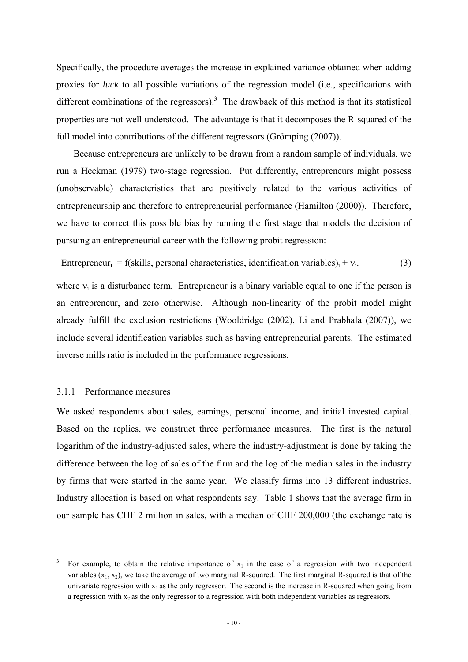Specifically, the procedure averages the increase in explained variance obtained when adding proxies for *luck* to all possible variations of the regression model (i.e., specifications with different combinations of the regressors).<sup>3</sup> The drawback of this method is that its statistical properties are not well understood. The advantage is that it decomposes the R-squared of the full model into contributions of the different regressors (Grömping (2007)).

Because entrepreneurs are unlikely to be drawn from a random sample of individuals, we run a Heckman (1979) two-stage regression. Put differently, entrepreneurs might possess (unobservable) characteristics that are positively related to the various activities of entrepreneurship and therefore to entrepreneurial performance (Hamilton (2000)). Therefore, we have to correct this possible bias by running the first stage that models the decision of pursuing an entrepreneurial career with the following probit regression:

Entrepreneur<sub>i</sub> = f(skills, personal characteristics, identification variables)<sub>i</sub> +  $v_i$ . (3)

where  $v_i$  is a disturbance term. Entrepreneur is a binary variable equal to one if the person is an entrepreneur, and zero otherwise. Although non-linearity of the probit model might already fulfill the exclusion restrictions (Wooldridge (2002), Li and Prabhala (2007)), we include several identification variables such as having entrepreneurial parents. The estimated inverse mills ratio is included in the performance regressions.

# 3.1.1 Performance measures

1

We asked respondents about sales, earnings, personal income, and initial invested capital. Based on the replies, we construct three performance measures. The first is the natural logarithm of the industry-adjusted sales, where the industry-adjustment is done by taking the difference between the log of sales of the firm and the log of the median sales in the industry by firms that were started in the same year. We classify firms into 13 different industries. Industry allocation is based on what respondents say. Table 1 shows that the average firm in our sample has CHF 2 million in sales, with a median of CHF 200,000 (the exchange rate is

<sup>3</sup> For example, to obtain the relative importance of  $x_1$  in the case of a regression with two independent variables  $(x_1, x_2)$ , we take the average of two marginal R-squared. The first marginal R-squared is that of the univariate regression with  $x_1$  as the only regressor. The second is the increase in R-squared when going from a regression with  $x_2$  as the only regressor to a regression with both independent variables as regressors.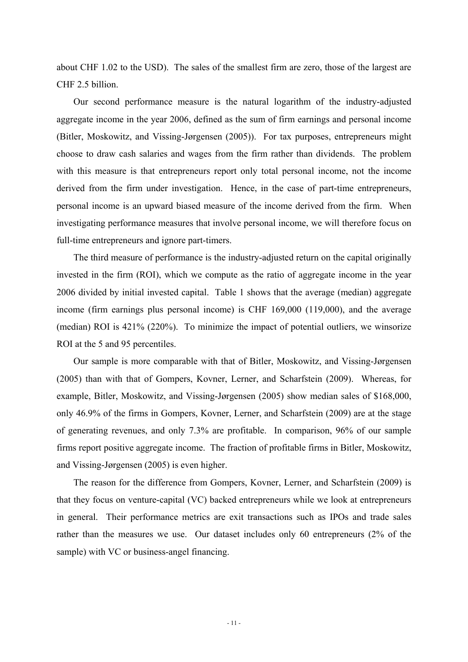about CHF 1.02 to the USD). The sales of the smallest firm are zero, those of the largest are CHF 2.5 billion.

Our second performance measure is the natural logarithm of the industry-adjusted aggregate income in the year 2006, defined as the sum of firm earnings and personal income (Bitler, Moskowitz, and Vissing-Jørgensen (2005)). For tax purposes, entrepreneurs might choose to draw cash salaries and wages from the firm rather than dividends. The problem with this measure is that entrepreneurs report only total personal income, not the income derived from the firm under investigation. Hence, in the case of part-time entrepreneurs, personal income is an upward biased measure of the income derived from the firm. When investigating performance measures that involve personal income, we will therefore focus on full-time entrepreneurs and ignore part-timers.

The third measure of performance is the industry-adjusted return on the capital originally invested in the firm (ROI), which we compute as the ratio of aggregate income in the year 2006 divided by initial invested capital. Table 1 shows that the average (median) aggregate income (firm earnings plus personal income) is CHF 169,000 (119,000), and the average (median) ROI is 421% (220%). To minimize the impact of potential outliers, we winsorize ROI at the 5 and 95 percentiles.

Our sample is more comparable with that of Bitler, Moskowitz, and Vissing-Jørgensen (2005) than with that of Gompers, Kovner, Lerner, and Scharfstein (2009). Whereas, for example, Bitler, Moskowitz, and Vissing-Jørgensen (2005) show median sales of \$168,000, only 46.9% of the firms in Gompers, Kovner, Lerner, and Scharfstein (2009) are at the stage of generating revenues, and only 7.3% are profitable. In comparison, 96% of our sample firms report positive aggregate income. The fraction of profitable firms in Bitler, Moskowitz, and Vissing-Jørgensen (2005) is even higher.

The reason for the difference from Gompers, Kovner, Lerner, and Scharfstein (2009) is that they focus on venture-capital (VC) backed entrepreneurs while we look at entrepreneurs in general. Their performance metrics are exit transactions such as IPOs and trade sales rather than the measures we use. Our dataset includes only 60 entrepreneurs (2% of the sample) with VC or business-angel financing.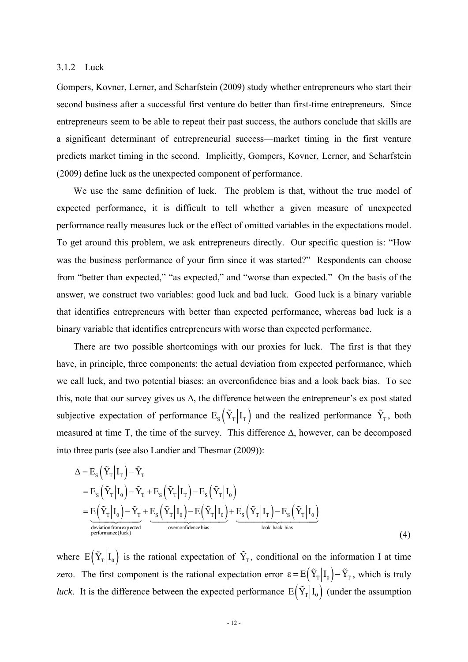## 3.1.2 Luck

Gompers, Kovner, Lerner, and Scharfstein (2009) study whether entrepreneurs who start their second business after a successful first venture do better than first-time entrepreneurs. Since entrepreneurs seem to be able to repeat their past success, the authors conclude that skills are a significant determinant of entrepreneurial success—market timing in the first venture predicts market timing in the second. Implicitly, Gompers, Kovner, Lerner, and Scharfstein (2009) define luck as the unexpected component of performance.

We use the same definition of luck. The problem is that, without the true model of expected performance, it is difficult to tell whether a given measure of unexpected performance really measures luck or the effect of omitted variables in the expectations model. To get around this problem, we ask entrepreneurs directly. Our specific question is: "How was the business performance of your firm since it was started?" Respondents can choose from "better than expected," "as expected," and "worse than expected." On the basis of the answer, we construct two variables: good luck and bad luck. Good luck is a binary variable that identifies entrepreneurs with better than expected performance, whereas bad luck is a binary variable that identifies entrepreneurs with worse than expected performance.

There are two possible shortcomings with our proxies for luck. The first is that they have, in principle, three components: the actual deviation from expected performance, which we call luck, and two potential biases: an overconfidence bias and a look back bias. To see this, note that our survey gives us  $\Delta$ , the difference between the entrepreneur's ex post stated subjective expectation of performance  $E_s(\tilde{Y}_T | I_T)$  and the realized performance  $\tilde{Y}_T$ , both measured at time T, the time of the survey. This difference  $\Delta$ , however, can be decomposed into three parts (see also Landier and Thesmar (2009)):

$$
\Delta = E_{S} (\tilde{Y}_{T} | I_{T}) - \tilde{Y}_{T}
$$
\n
$$
= E_{S} (\tilde{Y}_{T} | I_{0}) - \tilde{Y}_{T} + E_{S} (\tilde{Y}_{T} | I_{T}) - E_{S} (\tilde{Y}_{T} | I_{0})
$$
\n
$$
= E (\tilde{Y}_{T} | I_{0}) - \tilde{Y}_{T} + E_{S} (\tilde{Y}_{T} | I_{0}) - E (\tilde{Y}_{T} | I_{0}) + E_{S} (\tilde{Y}_{T} | I_{T}) - E_{S} (\tilde{Y}_{T} | I_{0})
$$
\n
$$
= E (\tilde{Y}_{T} | I_{0}) - \tilde{Y}_{T} + E_{S} (\tilde{Y}_{T} | I_{0}) - E (\tilde{Y}_{T} | I_{0}) + E_{S} (\tilde{Y}_{T} | I_{T}) - E_{S} (\tilde{Y}_{T} | I_{0})
$$
\n
$$
= E (\tilde{Y}_{T} | I_{0}) - \tilde{Y}_{T} + E_{S} (\tilde{Y}_{T} | I_{0}) - E (\tilde{Y}_{T} | I_{0}) + E_{S} (\tilde{Y}_{T} | I_{0})
$$
\n
$$
= E (\tilde{Y}_{T} | I_{0}) - \tilde{Y}_{T} + E_{S} (\tilde{Y}_{T} | I_{0}) - E (\tilde{Y}_{T} | I_{0}) + E_{S} (\tilde{Y}_{T} | I_{0})
$$
\n
$$
= E (\tilde{Y}_{T} | I_{0}) - \tilde{Y}_{T} + E_{S} (\tilde{Y}_{T} | I_{0}) - E (\tilde{Y}_{T} | I_{0}) + E_{S} (\tilde{Y}_{T} | I_{0})
$$
\n
$$
= E (\tilde{Y}_{T} | I_{0}) - \tilde{Y}_{T} + E_{S} (\tilde{Y}_{T} | I_{0}) - E (\tilde{Y}_{T} | I_{0}) + E_{S} (\tilde{Y}_{T} | I_{0})
$$
\n
$$
= E (\tilde{Y}_{T} | I_{0}) - \tilde{Y}_{T} + E_{S} (\tilde{Y}_{T} | I_{0}) - E (\tilde{Y}_{T} | I_{0}) + E_{S} (\tilde{Y}_{T} | I_{0})
$$
\n
$$
= E (\tilde{Y}_{T} | I_{0}) - \til
$$

where  $E(Y_T | I_0)$  is the rational expectation of  $\tilde{Y}_T$ , conditional on the information I at time zero. The first component is the rational expectation error  $\varepsilon = E(\tilde{Y}_T | I_0) - \tilde{Y}_T$ , which is truly *luck*. It is the difference between the expected performance  $E(\tilde{Y}_T | I_0)$  (under the assumption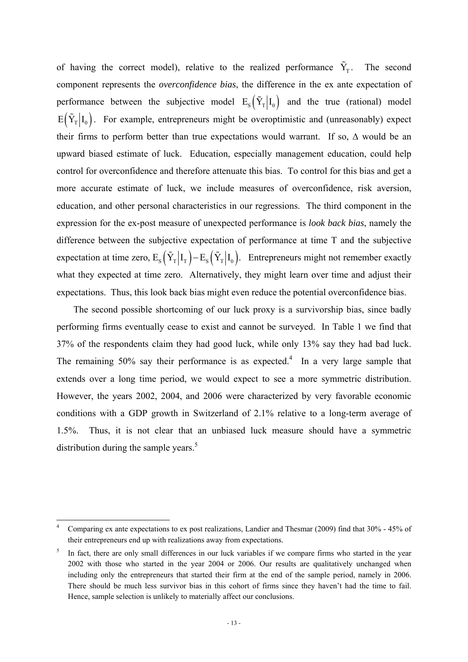of having the correct model), relative to the realized performance  $\tilde{Y}_T$ . The second component represents the *overconfidence bias*, the difference in the ex ante expectation of performance between the subjective model  $E_s(\tilde{Y}_T | I_0)$  and the true (rational) model  $E(\tilde{Y}_T | I_0)$ . For example, entrepreneurs might be overoptimistic and (unreasonably) expect their firms to perform better than true expectations would warrant. If so,  $\Delta$  would be an upward biased estimate of luck. Education, especially management education, could help control for overconfidence and therefore attenuate this bias. To control for this bias and get a more accurate estimate of luck, we include measures of overconfidence, risk aversion, education, and other personal characteristics in our regressions. The third component in the expression for the ex-post measure of unexpected performance is *look back bias*, namely the difference between the subjective expectation of performance at time T and the subjective expectation at time zero,  $E_s(\tilde{Y}_T | I_T) - E_s(\tilde{Y}_T | I_0)$ . Entrepreneurs might not remember exactly what they expected at time zero. Alternatively, they might learn over time and adjust their expectations. Thus, this look back bias might even reduce the potential overconfidence bias.

The second possible shortcoming of our luck proxy is a survivorship bias, since badly performing firms eventually cease to exist and cannot be surveyed. In Table 1 we find that 37% of the respondents claim they had good luck, while only 13% say they had bad luck. The remaining  $50\%$  say their performance is as expected.<sup>4</sup> In a very large sample that extends over a long time period, we would expect to see a more symmetric distribution. However, the years 2002, 2004, and 2006 were characterized by very favorable economic conditions with a GDP growth in Switzerland of 2.1% relative to a long-term average of 1.5%. Thus, it is not clear that an unbiased luck measure should have a symmetric distribution during the sample years. $5$ 

1

<sup>4</sup> Comparing ex ante expectations to ex post realizations, Landier and Thesmar (2009) find that 30% - 45% of their entrepreneurs end up with realizations away from expectations.

<sup>5</sup> In fact, there are only small differences in our luck variables if we compare firms who started in the year 2002 with those who started in the year 2004 or 2006. Our results are qualitatively unchanged when including only the entrepreneurs that started their firm at the end of the sample period, namely in 2006. There should be much less survivor bias in this cohort of firms since they haven't had the time to fail. Hence, sample selection is unlikely to materially affect our conclusions.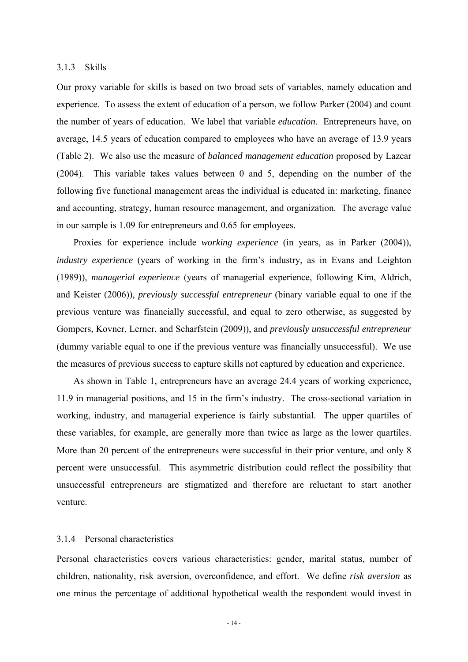### 3.1.3 Skills

Our proxy variable for skills is based on two broad sets of variables, namely education and experience. To assess the extent of education of a person, we follow Parker (2004) and count the number of years of education. We label that variable *education*. Entrepreneurs have, on average, 14.5 years of education compared to employees who have an average of 13.9 years (Table 2). We also use the measure of *balanced management education* proposed by Lazear (2004). This variable takes values between 0 and 5, depending on the number of the following five functional management areas the individual is educated in: marketing, finance and accounting, strategy, human resource management, and organization. The average value in our sample is 1.09 for entrepreneurs and 0.65 for employees.

Proxies for experience include *working experience* (in years, as in Parker (2004)), *industry experience* (years of working in the firm's industry, as in Evans and Leighton (1989)), *managerial experience* (years of managerial experience, following Kim, Aldrich, and Keister (2006)), *previously successful entrepreneur* (binary variable equal to one if the previous venture was financially successful, and equal to zero otherwise, as suggested by Gompers, Kovner, Lerner, and Scharfstein (2009)), and *previously unsuccessful entrepreneur* (dummy variable equal to one if the previous venture was financially unsuccessful). We use the measures of previous success to capture skills not captured by education and experience.

As shown in Table 1, entrepreneurs have an average 24.4 years of working experience, 11.9 in managerial positions, and 15 in the firm's industry. The cross-sectional variation in working, industry, and managerial experience is fairly substantial. The upper quartiles of these variables, for example, are generally more than twice as large as the lower quartiles. More than 20 percent of the entrepreneurs were successful in their prior venture, and only 8 percent were unsuccessful. This asymmetric distribution could reflect the possibility that unsuccessful entrepreneurs are stigmatized and therefore are reluctant to start another venture.

# 3.1.4 Personal characteristics

Personal characteristics covers various characteristics: gender, marital status, number of children, nationality, risk aversion, overconfidence, and effort. We define *risk aversion* as one minus the percentage of additional hypothetical wealth the respondent would invest in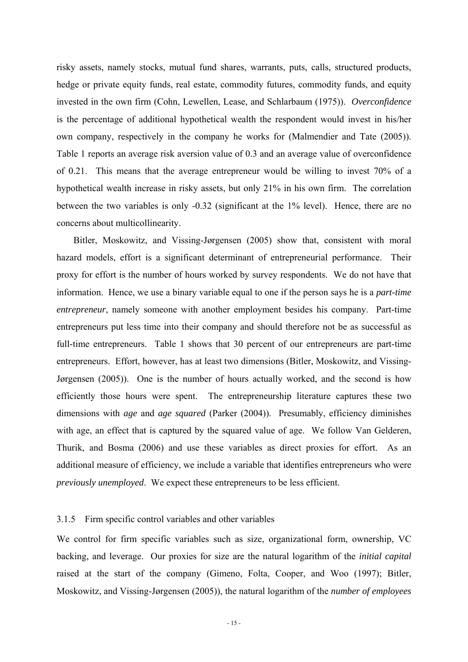risky assets, namely stocks, mutual fund shares, warrants, puts, calls, structured products, hedge or private equity funds, real estate, commodity futures, commodity funds, and equity invested in the own firm (Cohn, Lewellen, Lease, and Schlarbaum (1975)). *Overconfidence* is the percentage of additional hypothetical wealth the respondent would invest in his/her own company, respectively in the company he works for (Malmendier and Tate (2005)). Table 1 reports an average risk aversion value of 0.3 and an average value of overconfidence of 0.21. This means that the average entrepreneur would be willing to invest 70% of a hypothetical wealth increase in risky assets, but only 21% in his own firm. The correlation between the two variables is only -0.32 (significant at the 1% level). Hence, there are no concerns about multicollinearity.

Bitler, Moskowitz, and Vissing-Jørgensen (2005) show that, consistent with moral hazard models, effort is a significant determinant of entrepreneurial performance. Their proxy for effort is the number of hours worked by survey respondents. We do not have that information. Hence, we use a binary variable equal to one if the person says he is a *part-time entrepreneur*, namely someone with another employment besides his company. Part-time entrepreneurs put less time into their company and should therefore not be as successful as full-time entrepreneurs. Table 1 shows that 30 percent of our entrepreneurs are part-time entrepreneurs. Effort, however, has at least two dimensions (Bitler, Moskowitz, and Vissing-Jørgensen (2005)). One is the number of hours actually worked, and the second is how efficiently those hours were spent. The entrepreneurship literature captures these two dimensions with *age* and *age squared* (Parker (2004)). Presumably, efficiency diminishes with age, an effect that is captured by the squared value of age. We follow Van Gelderen, Thurik, and Bosma (2006) and use these variables as direct proxies for effort. As an additional measure of efficiency, we include a variable that identifies entrepreneurs who were *previously unemployed*. We expect these entrepreneurs to be less efficient.

# 3.1.5 Firm specific control variables and other variables

We control for firm specific variables such as size, organizational form, ownership, VC backing, and leverage. Our proxies for size are the natural logarithm of the *initial capital* raised at the start of the company (Gimeno, Folta, Cooper, and Woo (1997); Bitler, Moskowitz, and Vissing-Jørgensen (2005)), the natural logarithm of the *number of employees*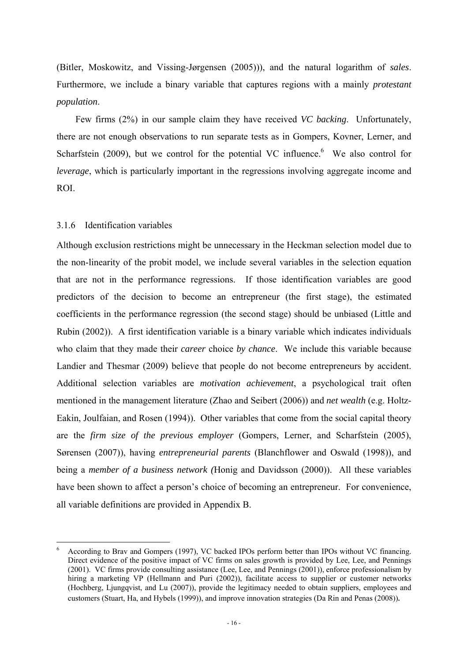(Bitler, Moskowitz, and Vissing-Jørgensen (2005))), and the natural logarithm of *sales*. Furthermore, we include a binary variable that captures regions with a mainly *protestant population*.

Few firms (2%) in our sample claim they have received *VC backing*. Unfortunately, there are not enough observations to run separate tests as in Gompers, Kovner, Lerner, and Scharfstein  $(2009)$ , but we control for the potential VC influence. We also control for *leverage*, which is particularly important in the regressions involving aggregate income and ROI.

# 3.1.6 Identification variables

1

Although exclusion restrictions might be unnecessary in the Heckman selection model due to the non-linearity of the probit model, we include several variables in the selection equation that are not in the performance regressions. If those identification variables are good predictors of the decision to become an entrepreneur (the first stage), the estimated coefficients in the performance regression (the second stage) should be unbiased (Little and Rubin (2002)). A first identification variable is a binary variable which indicates individuals who claim that they made their *career* choice *by chance*. We include this variable because Landier and Thesmar (2009) believe that people do not become entrepreneurs by accident. Additional selection variables are *motivation achievement*, a psychological trait often mentioned in the management literature (Zhao and Seibert (2006)) and *net wealth* (e.g. Holtz-Eakin, Joulfaian, and Rosen (1994)). Other variables that come from the social capital theory are the *firm size of the previous employer* (Gompers, Lerner, and Scharfstein (2005), Sørensen (2007)), having *entrepreneurial parents* (Blanchflower and Oswald (1998)), and being a *member of a business network (*Honig and Davidsson (2000)). All these variables have been shown to affect a person's choice of becoming an entrepreneur. For convenience, all variable definitions are provided in Appendix B.

<sup>6</sup> According to Brav and Gompers (1997), VC backed IPOs perform better than IPOs without VC financing. Direct evidence of the positive impact of VC firms on sales growth is provided by Lee, Lee, and Pennings (2001). VC firms provide consulting assistance (Lee, Lee, and Pennings (2001)), enforce professionalism by hiring a marketing VP (Hellmann and Puri (2002)), facilitate access to supplier or customer networks (Hochberg, Ljungqvist, and Lu (2007)), provide the legitimacy needed to obtain suppliers, employees and customers (Stuart, Ha, and Hybels (1999)), and improve innovation strategies (Da Rin and Penas (2008))*.*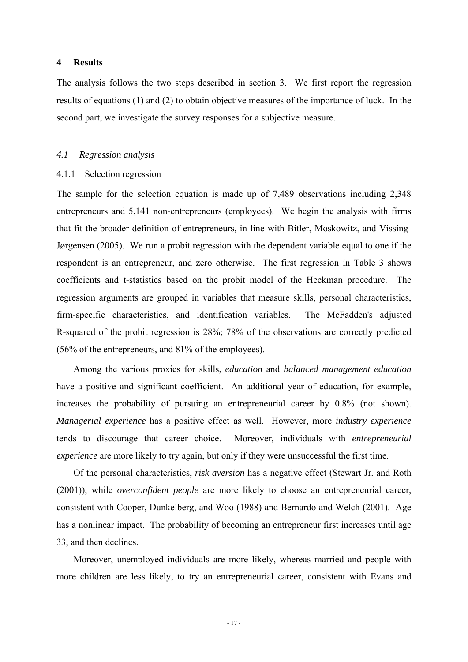# **4 Results**

The analysis follows the two steps described in section 3. We first report the regression results of equations (1) and (2) to obtain objective measures of the importance of luck. In the second part, we investigate the survey responses for a subjective measure.

# *4.1 Regression analysis*

### 4.1.1 Selection regression

The sample for the selection equation is made up of 7,489 observations including 2,348 entrepreneurs and 5,141 non-entrepreneurs (employees). We begin the analysis with firms that fit the broader definition of entrepreneurs, in line with Bitler, Moskowitz, and Vissing-Jørgensen (2005). We run a probit regression with the dependent variable equal to one if the respondent is an entrepreneur, and zero otherwise. The first regression in Table 3 shows coefficients and t-statistics based on the probit model of the Heckman procedure. The regression arguments are grouped in variables that measure skills, personal characteristics, firm-specific characteristics, and identification variables. The McFadden's adjusted R-squared of the probit regression is 28%; 78% of the observations are correctly predicted (56% of the entrepreneurs, and 81% of the employees).

Among the various proxies for skills, *education* and *balanced management education* have a positive and significant coefficient. An additional year of education, for example, increases the probability of pursuing an entrepreneurial career by 0.8% (not shown). *Managerial experience* has a positive effect as well. However, more *industry experience* tends to discourage that career choice. Moreover, individuals with *entrepreneurial experience* are more likely to try again, but only if they were unsuccessful the first time.

Of the personal characteristics, *risk aversion* has a negative effect (Stewart Jr. and Roth (2001)), while *overconfident people* are more likely to choose an entrepreneurial career, consistent with Cooper, Dunkelberg, and Woo (1988) and Bernardo and Welch (2001). Age has a nonlinear impact. The probability of becoming an entrepreneur first increases until age 33, and then declines.

Moreover, unemployed individuals are more likely, whereas married and people with more children are less likely, to try an entrepreneurial career, consistent with Evans and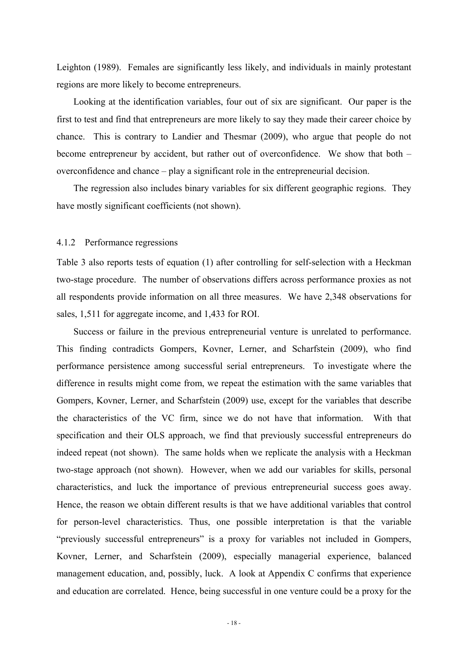Leighton (1989). Females are significantly less likely, and individuals in mainly protestant regions are more likely to become entrepreneurs.

Looking at the identification variables, four out of six are significant. Our paper is the first to test and find that entrepreneurs are more likely to say they made their career choice by chance. This is contrary to Landier and Thesmar (2009), who argue that people do not become entrepreneur by accident, but rather out of overconfidence. We show that both – overconfidence and chance – play a significant role in the entrepreneurial decision.

The regression also includes binary variables for six different geographic regions. They have mostly significant coefficients (not shown).

### 4.1.2 Performance regressions

Table 3 also reports tests of equation (1) after controlling for self-selection with a Heckman two-stage procedure. The number of observations differs across performance proxies as not all respondents provide information on all three measures. We have 2,348 observations for sales, 1,511 for aggregate income, and 1,433 for ROI.

Success or failure in the previous entrepreneurial venture is unrelated to performance. This finding contradicts Gompers, Kovner, Lerner, and Scharfstein (2009), who find performance persistence among successful serial entrepreneurs. To investigate where the difference in results might come from, we repeat the estimation with the same variables that Gompers, Kovner, Lerner, and Scharfstein (2009) use, except for the variables that describe the characteristics of the VC firm, since we do not have that information. With that specification and their OLS approach, we find that previously successful entrepreneurs do indeed repeat (not shown). The same holds when we replicate the analysis with a Heckman two-stage approach (not shown). However, when we add our variables for skills, personal characteristics, and luck the importance of previous entrepreneurial success goes away. Hence, the reason we obtain different results is that we have additional variables that control for person-level characteristics. Thus, one possible interpretation is that the variable "previously successful entrepreneurs" is a proxy for variables not included in Gompers, Kovner, Lerner, and Scharfstein (2009), especially managerial experience, balanced management education, and, possibly, luck. A look at Appendix C confirms that experience and education are correlated. Hence, being successful in one venture could be a proxy for the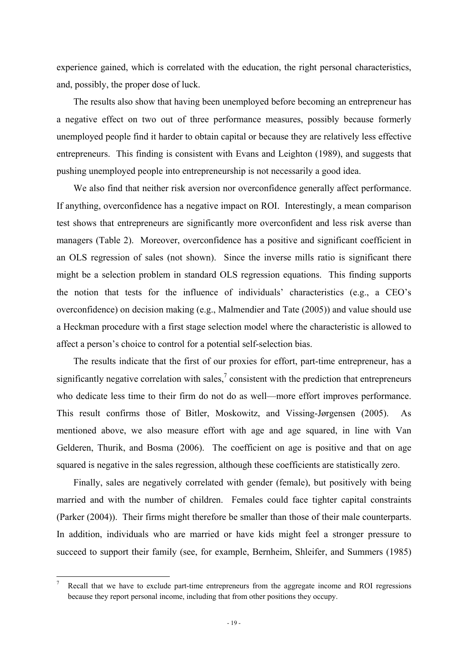experience gained, which is correlated with the education, the right personal characteristics, and, possibly, the proper dose of luck.

The results also show that having been unemployed before becoming an entrepreneur has a negative effect on two out of three performance measures, possibly because formerly unemployed people find it harder to obtain capital or because they are relatively less effective entrepreneurs. This finding is consistent with Evans and Leighton (1989), and suggests that pushing unemployed people into entrepreneurship is not necessarily a good idea.

We also find that neither risk aversion nor overconfidence generally affect performance. If anything, overconfidence has a negative impact on ROI. Interestingly, a mean comparison test shows that entrepreneurs are significantly more overconfident and less risk averse than managers (Table 2). Moreover, overconfidence has a positive and significant coefficient in an OLS regression of sales (not shown). Since the inverse mills ratio is significant there might be a selection problem in standard OLS regression equations. This finding supports the notion that tests for the influence of individuals' characteristics (e.g., a CEO's overconfidence) on decision making (e.g., Malmendier and Tate (2005)) and value should use a Heckman procedure with a first stage selection model where the characteristic is allowed to affect a person's choice to control for a potential self-selection bias.

The results indicate that the first of our proxies for effort, part-time entrepreneur, has a significantly negative correlation with sales,<sup>7</sup> consistent with the prediction that entrepreneurs who dedicate less time to their firm do not do as well—more effort improves performance. This result confirms those of Bitler, Moskowitz, and Vissing-Jørgensen (2005). As mentioned above, we also measure effort with age and age squared, in line with Van Gelderen, Thurik, and Bosma (2006). The coefficient on age is positive and that on age squared is negative in the sales regression, although these coefficients are statistically zero.

Finally, sales are negatively correlated with gender (female), but positively with being married and with the number of children. Females could face tighter capital constraints (Parker (2004)). Their firms might therefore be smaller than those of their male counterparts. In addition, individuals who are married or have kids might feel a stronger pressure to succeed to support their family (see, for example, Bernheim, Shleifer, and Summers (1985)

1

<sup>7</sup> Recall that we have to exclude part-time entrepreneurs from the aggregate income and ROI regressions because they report personal income, including that from other positions they occupy.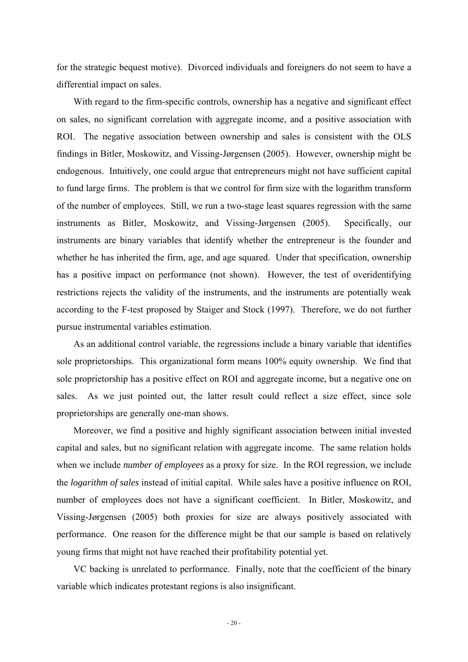for the strategic bequest motive). Divorced individuals and foreigners do not seem to have a differential impact on sales.

With regard to the firm-specific controls, ownership has a negative and significant effect on sales, no significant correlation with aggregate income, and a positive association with ROI. The negative association between ownership and sales is consistent with the OLS findings in Bitler, Moskowitz, and Vissing-Jørgensen (2005). However, ownership might be endogenous. Intuitively, one could argue that entrepreneurs might not have sufficient capital to fund large firms. The problem is that we control for firm size with the logarithm transform of the number of employees. Still, we run a two-stage least squares regression with the same instruments as Bitler, Moskowitz, and Vissing-Jørgensen (2005). Specifically, our instruments are binary variables that identify whether the entrepreneur is the founder and whether he has inherited the firm, age, and age squared. Under that specification, ownership has a positive impact on performance (not shown). However, the test of overidentifying restrictions rejects the validity of the instruments, and the instruments are potentially weak according to the F-test proposed by Staiger and Stock (1997). Therefore, we do not further pursue instrumental variables estimation.

As an additional control variable, the regressions include a binary variable that identifies sole proprietorships. This organizational form means 100% equity ownership. We find that sole proprietorship has a positive effect on ROI and aggregate income, but a negative one on sales. As we just pointed out, the latter result could reflect a size effect, since sole proprietorships are generally one-man shows.

Moreover, we find a positive and highly significant association between initial invested capital and sales, but no significant relation with aggregate income. The same relation holds when we include *number of employees* as a proxy for size. In the ROI regression, we include the *logarithm of sales* instead of initial capital. While sales have a positive influence on ROI, number of employees does not have a significant coefficient. In Bitler, Moskowitz, and Vissing-Jørgensen (2005) both proxies for size are always positively associated with performance. One reason for the difference might be that our sample is based on relatively young firms that might not have reached their profitability potential yet.

VC backing is unrelated to performance. Finally, note that the coefficient of the binary variable which indicates protestant regions is also insignificant.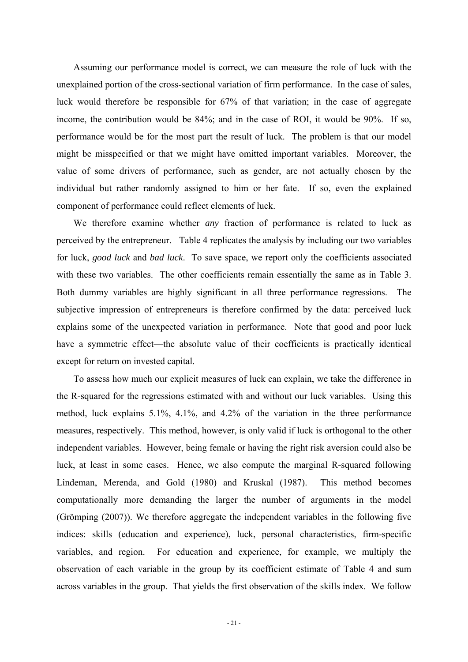Assuming our performance model is correct, we can measure the role of luck with the unexplained portion of the cross-sectional variation of firm performance. In the case of sales, luck would therefore be responsible for 67% of that variation; in the case of aggregate income, the contribution would be 84%; and in the case of ROI, it would be 90%. If so, performance would be for the most part the result of luck. The problem is that our model might be misspecified or that we might have omitted important variables. Moreover, the value of some drivers of performance, such as gender, are not actually chosen by the individual but rather randomly assigned to him or her fate. If so, even the explained component of performance could reflect elements of luck.

We therefore examine whether *any* fraction of performance is related to luck as perceived by the entrepreneur. Table 4 replicates the analysis by including our two variables for luck, *good luck* and *bad luck*. To save space, we report only the coefficients associated with these two variables. The other coefficients remain essentially the same as in Table 3. Both dummy variables are highly significant in all three performance regressions. The subjective impression of entrepreneurs is therefore confirmed by the data: perceived luck explains some of the unexpected variation in performance. Note that good and poor luck have a symmetric effect—the absolute value of their coefficients is practically identical except for return on invested capital.

To assess how much our explicit measures of luck can explain, we take the difference in the R-squared for the regressions estimated with and without our luck variables. Using this method, luck explains 5.1%, 4.1%, and 4.2% of the variation in the three performance measures, respectively. This method, however, is only valid if luck is orthogonal to the other independent variables. However, being female or having the right risk aversion could also be luck, at least in some cases. Hence, we also compute the marginal R-squared following Lindeman, Merenda, and Gold (1980) and Kruskal (1987). This method becomes computationally more demanding the larger the number of arguments in the model (Grömping (2007)). We therefore aggregate the independent variables in the following five indices: skills (education and experience), luck, personal characteristics, firm-specific variables, and region. For education and experience, for example, we multiply the observation of each variable in the group by its coefficient estimate of Table 4 and sum across variables in the group. That yields the first observation of the skills index. We follow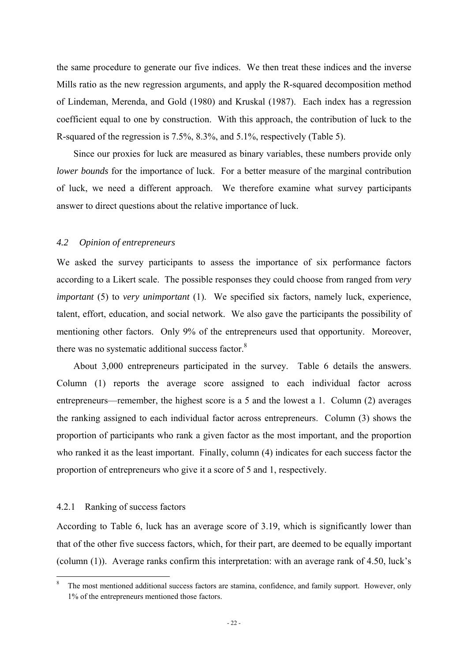the same procedure to generate our five indices. We then treat these indices and the inverse Mills ratio as the new regression arguments, and apply the R-squared decomposition method of Lindeman, Merenda, and Gold (1980) and Kruskal (1987). Each index has a regression coefficient equal to one by construction. With this approach, the contribution of luck to the R-squared of the regression is 7.5%, 8.3%, and 5.1%, respectively (Table 5).

Since our proxies for luck are measured as binary variables, these numbers provide only *lower bounds* for the importance of luck. For a better measure of the marginal contribution of luck, we need a different approach. We therefore examine what survey participants answer to direct questions about the relative importance of luck.

### *4.2 Opinion of entrepreneurs*

We asked the survey participants to assess the importance of six performance factors according to a Likert scale. The possible responses they could choose from ranged from *very important* (5) to *very unimportant* (1). We specified six factors, namely luck, experience, talent, effort, education, and social network. We also gave the participants the possibility of mentioning other factors. Only 9% of the entrepreneurs used that opportunity. Moreover, there was no systematic additional success factor.<sup>8</sup>

About 3,000 entrepreneurs participated in the survey. Table 6 details the answers. Column (1) reports the average score assigned to each individual factor across entrepreneurs—remember, the highest score is a 5 and the lowest a 1. Column (2) averages the ranking assigned to each individual factor across entrepreneurs. Column (3) shows the proportion of participants who rank a given factor as the most important, and the proportion who ranked it as the least important. Finally, column (4) indicates for each success factor the proportion of entrepreneurs who give it a score of 5 and 1, respectively.

### 4.2.1 Ranking of success factors

1

According to Table 6, luck has an average score of 3.19, which is significantly lower than that of the other five success factors, which, for their part, are deemed to be equally important (column (1)). Average ranks confirm this interpretation: with an average rank of 4.50, luck's

<sup>8</sup> The most mentioned additional success factors are stamina, confidence, and family support. However, only 1% of the entrepreneurs mentioned those factors.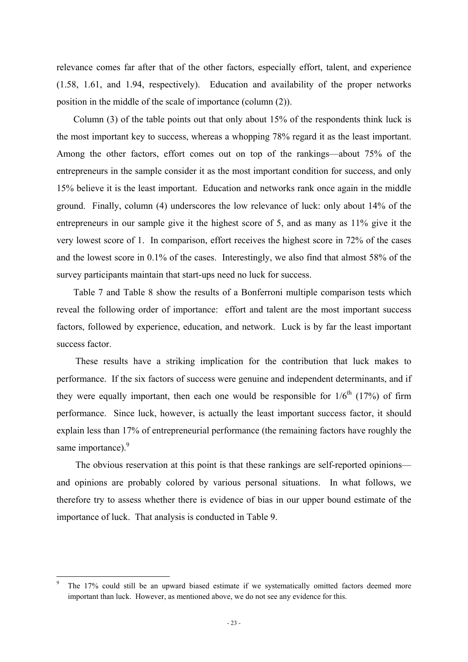relevance comes far after that of the other factors, especially effort, talent, and experience (1.58, 1.61, and 1.94, respectively). Education and availability of the proper networks position in the middle of the scale of importance (column (2)).

Column (3) of the table points out that only about 15% of the respondents think luck is the most important key to success, whereas a whopping 78% regard it as the least important. Among the other factors, effort comes out on top of the rankings—about 75% of the entrepreneurs in the sample consider it as the most important condition for success, and only 15% believe it is the least important. Education and networks rank once again in the middle ground. Finally, column (4) underscores the low relevance of luck: only about 14% of the entrepreneurs in our sample give it the highest score of 5, and as many as 11% give it the very lowest score of 1. In comparison, effort receives the highest score in 72% of the cases and the lowest score in 0.1% of the cases. Interestingly, we also find that almost 58% of the survey participants maintain that start-ups need no luck for success.

Table 7 and Table 8 show the results of a Bonferroni multiple comparison tests which reveal the following order of importance: effort and talent are the most important success factors, followed by experience, education, and network. Luck is by far the least important success factor.

These results have a striking implication for the contribution that luck makes to performance. If the six factors of success were genuine and independent determinants, and if they were equally important, then each one would be responsible for  $1/6<sup>th</sup>$  (17%) of firm performance. Since luck, however, is actually the least important success factor, it should explain less than 17% of entrepreneurial performance (the remaining factors have roughly the same importance).<sup>9</sup>

The obvious reservation at this point is that these rankings are self-reported opinions and opinions are probably colored by various personal situations. In what follows, we therefore try to assess whether there is evidence of bias in our upper bound estimate of the importance of luck. That analysis is conducted in Table 9.

1

<sup>9</sup> The 17% could still be an upward biased estimate if we systematically omitted factors deemed more important than luck. However, as mentioned above, we do not see any evidence for this.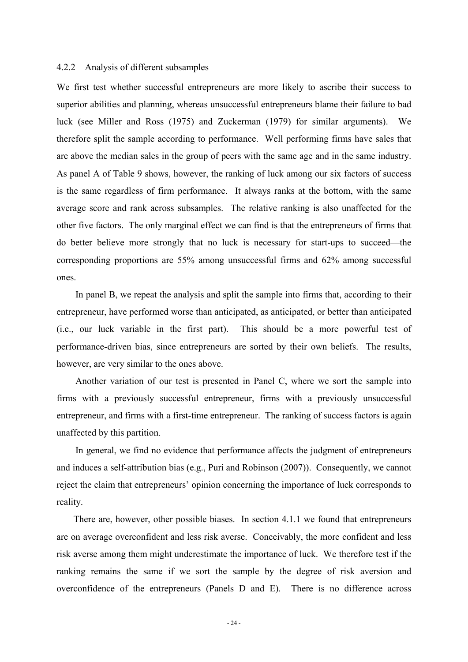### 4.2.2 Analysis of different subsamples

We first test whether successful entrepreneurs are more likely to ascribe their success to superior abilities and planning, whereas unsuccessful entrepreneurs blame their failure to bad luck (see Miller and Ross (1975) and Zuckerman (1979) for similar arguments). We therefore split the sample according to performance. Well performing firms have sales that are above the median sales in the group of peers with the same age and in the same industry. As panel A of Table 9 shows, however, the ranking of luck among our six factors of success is the same regardless of firm performance. It always ranks at the bottom, with the same average score and rank across subsamples. The relative ranking is also unaffected for the other five factors. The only marginal effect we can find is that the entrepreneurs of firms that do better believe more strongly that no luck is necessary for start-ups to succeed—the corresponding proportions are 55% among unsuccessful firms and 62% among successful ones.

In panel B, we repeat the analysis and split the sample into firms that, according to their entrepreneur, have performed worse than anticipated, as anticipated, or better than anticipated (i.e., our luck variable in the first part). This should be a more powerful test of performance-driven bias, since entrepreneurs are sorted by their own beliefs. The results, however, are very similar to the ones above.

Another variation of our test is presented in Panel C, where we sort the sample into firms with a previously successful entrepreneur, firms with a previously unsuccessful entrepreneur, and firms with a first-time entrepreneur. The ranking of success factors is again unaffected by this partition.

In general, we find no evidence that performance affects the judgment of entrepreneurs and induces a self-attribution bias (e.g., Puri and Robinson (2007)). Consequently, we cannot reject the claim that entrepreneurs' opinion concerning the importance of luck corresponds to reality.

There are, however, other possible biases. In section 4.1.1 we found that entrepreneurs are on average overconfident and less risk averse. Conceivably, the more confident and less risk averse among them might underestimate the importance of luck. We therefore test if the ranking remains the same if we sort the sample by the degree of risk aversion and overconfidence of the entrepreneurs (Panels D and E). There is no difference across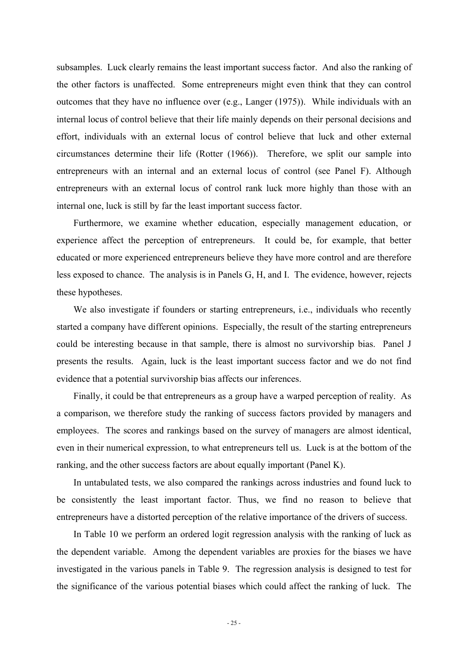subsamples. Luck clearly remains the least important success factor. And also the ranking of the other factors is unaffected. Some entrepreneurs might even think that they can control outcomes that they have no influence over (e.g., Langer (1975)). While individuals with an internal locus of control believe that their life mainly depends on their personal decisions and effort, individuals with an external locus of control believe that luck and other external circumstances determine their life (Rotter (1966)). Therefore, we split our sample into entrepreneurs with an internal and an external locus of control (see Panel F). Although entrepreneurs with an external locus of control rank luck more highly than those with an internal one, luck is still by far the least important success factor.

Furthermore, we examine whether education, especially management education, or experience affect the perception of entrepreneurs. It could be, for example, that better educated or more experienced entrepreneurs believe they have more control and are therefore less exposed to chance. The analysis is in Panels G, H, and I. The evidence, however, rejects these hypotheses.

We also investigate if founders or starting entrepreneurs, i.e., individuals who recently started a company have different opinions. Especially, the result of the starting entrepreneurs could be interesting because in that sample, there is almost no survivorship bias. Panel J presents the results. Again, luck is the least important success factor and we do not find evidence that a potential survivorship bias affects our inferences.

Finally, it could be that entrepreneurs as a group have a warped perception of reality. As a comparison, we therefore study the ranking of success factors provided by managers and employees. The scores and rankings based on the survey of managers are almost identical, even in their numerical expression, to what entrepreneurs tell us. Luck is at the bottom of the ranking, and the other success factors are about equally important (Panel K).

In untabulated tests, we also compared the rankings across industries and found luck to be consistently the least important factor. Thus, we find no reason to believe that entrepreneurs have a distorted perception of the relative importance of the drivers of success.

In Table 10 we perform an ordered logit regression analysis with the ranking of luck as the dependent variable. Among the dependent variables are proxies for the biases we have investigated in the various panels in Table 9. The regression analysis is designed to test for the significance of the various potential biases which could affect the ranking of luck. The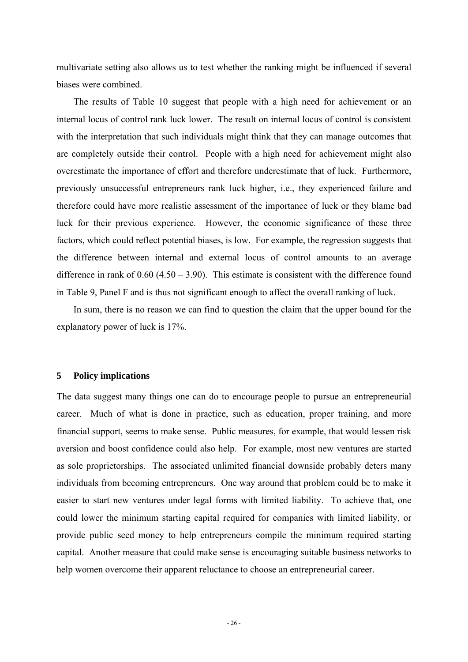multivariate setting also allows us to test whether the ranking might be influenced if several biases were combined.

The results of Table 10 suggest that people with a high need for achievement or an internal locus of control rank luck lower. The result on internal locus of control is consistent with the interpretation that such individuals might think that they can manage outcomes that are completely outside their control. People with a high need for achievement might also overestimate the importance of effort and therefore underestimate that of luck. Furthermore, previously unsuccessful entrepreneurs rank luck higher, i.e., they experienced failure and therefore could have more realistic assessment of the importance of luck or they blame bad luck for their previous experience. However, the economic significance of these three factors, which could reflect potential biases, is low. For example, the regression suggests that the difference between internal and external locus of control amounts to an average difference in rank of  $0.60$  (4.50 – 3.90). This estimate is consistent with the difference found in Table 9, Panel F and is thus not significant enough to affect the overall ranking of luck.

In sum, there is no reason we can find to question the claim that the upper bound for the explanatory power of luck is 17%.

# **5 Policy implications**

The data suggest many things one can do to encourage people to pursue an entrepreneurial career. Much of what is done in practice, such as education, proper training, and more financial support, seems to make sense. Public measures, for example, that would lessen risk aversion and boost confidence could also help. For example, most new ventures are started as sole proprietorships. The associated unlimited financial downside probably deters many individuals from becoming entrepreneurs. One way around that problem could be to make it easier to start new ventures under legal forms with limited liability. To achieve that, one could lower the minimum starting capital required for companies with limited liability, or provide public seed money to help entrepreneurs compile the minimum required starting capital. Another measure that could make sense is encouraging suitable business networks to help women overcome their apparent reluctance to choose an entrepreneurial career.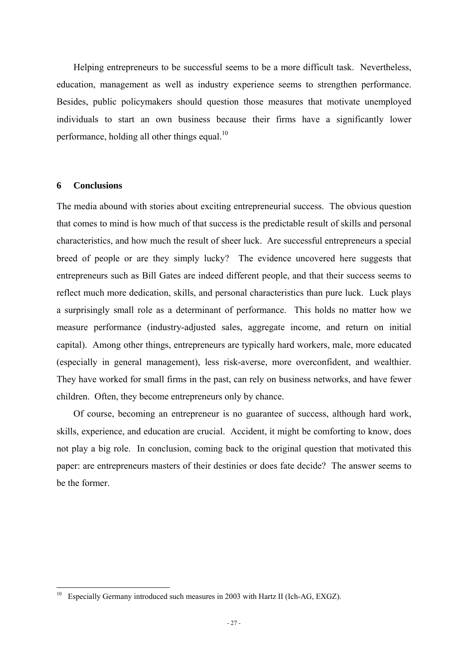Helping entrepreneurs to be successful seems to be a more difficult task. Nevertheless, education, management as well as industry experience seems to strengthen performance. Besides, public policymakers should question those measures that motivate unemployed individuals to start an own business because their firms have a significantly lower performance, holding all other things equal.<sup>10</sup>

# **6 Conclusions**

<u>.</u>

The media abound with stories about exciting entrepreneurial success. The obvious question that comes to mind is how much of that success is the predictable result of skills and personal characteristics, and how much the result of sheer luck. Are successful entrepreneurs a special breed of people or are they simply lucky? The evidence uncovered here suggests that entrepreneurs such as Bill Gates are indeed different people, and that their success seems to reflect much more dedication, skills, and personal characteristics than pure luck. Luck plays a surprisingly small role as a determinant of performance. This holds no matter how we measure performance (industry-adjusted sales, aggregate income, and return on initial capital). Among other things, entrepreneurs are typically hard workers, male, more educated (especially in general management), less risk-averse, more overconfident, and wealthier. They have worked for small firms in the past, can rely on business networks, and have fewer children. Often, they become entrepreneurs only by chance.

Of course, becoming an entrepreneur is no guarantee of success, although hard work, skills, experience, and education are crucial. Accident, it might be comforting to know, does not play a big role. In conclusion, coming back to the original question that motivated this paper: are entrepreneurs masters of their destinies or does fate decide? The answer seems to be the former.

 $10$  Especially Germany introduced such measures in 2003 with Hartz II (Ich-AG, EXGZ).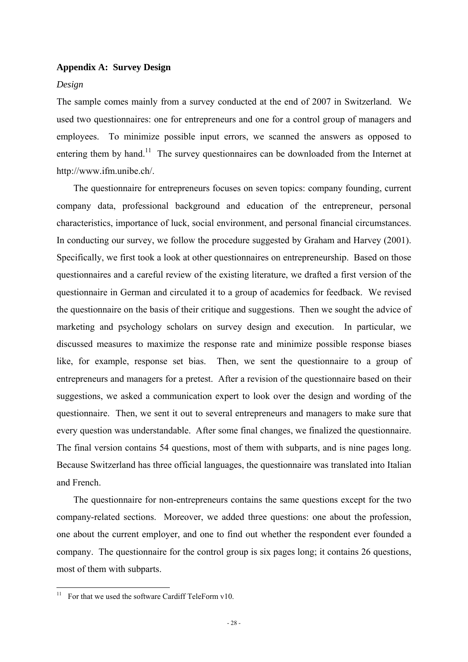# **Appendix A: Survey Design**

### *Design*

The sample comes mainly from a survey conducted at the end of 2007 in Switzerland. We used two questionnaires: one for entrepreneurs and one for a control group of managers and employees. To minimize possible input errors, we scanned the answers as opposed to entering them by hand.<sup>11</sup> The survey questionnaires can be downloaded from the Internet at http://www.ifm.unibe.ch/.

The questionnaire for entrepreneurs focuses on seven topics: company founding, current company data, professional background and education of the entrepreneur, personal characteristics, importance of luck, social environment, and personal financial circumstances. In conducting our survey, we follow the procedure suggested by Graham and Harvey (2001). Specifically, we first took a look at other questionnaires on entrepreneurship. Based on those questionnaires and a careful review of the existing literature, we drafted a first version of the questionnaire in German and circulated it to a group of academics for feedback. We revised the questionnaire on the basis of their critique and suggestions. Then we sought the advice of marketing and psychology scholars on survey design and execution. In particular, we discussed measures to maximize the response rate and minimize possible response biases like, for example, response set bias. Then, we sent the questionnaire to a group of entrepreneurs and managers for a pretest. After a revision of the questionnaire based on their suggestions, we asked a communication expert to look over the design and wording of the questionnaire. Then, we sent it out to several entrepreneurs and managers to make sure that every question was understandable. After some final changes, we finalized the questionnaire. The final version contains 54 questions, most of them with subparts, and is nine pages long. Because Switzerland has three official languages, the questionnaire was translated into Italian and French.

The questionnaire for non-entrepreneurs contains the same questions except for the two company-related sections. Moreover, we added three questions: one about the profession, one about the current employer, and one to find out whether the respondent ever founded a company. The questionnaire for the control group is six pages long; it contains 26 questions, most of them with subparts.

<u>.</u>

<sup>&</sup>lt;sup>11</sup> For that we used the software Cardiff TeleForm v10.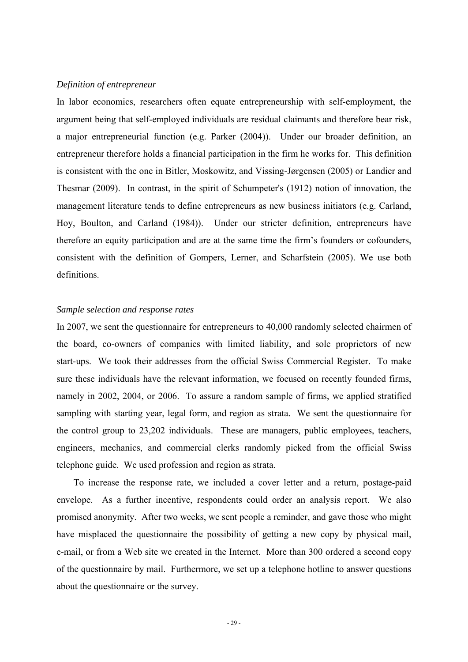### *Definition of entrepreneur*

In labor economics, researchers often equate entrepreneurship with self-employment, the argument being that self-employed individuals are residual claimants and therefore bear risk, a major entrepreneurial function (e.g. Parker (2004)). Under our broader definition, an entrepreneur therefore holds a financial participation in the firm he works for. This definition is consistent with the one in Bitler, Moskowitz, and Vissing-Jørgensen (2005) or Landier and Thesmar (2009). In contrast, in the spirit of Schumpeter's (1912) notion of innovation, the management literature tends to define entrepreneurs as new business initiators (e.g. Carland, Hoy, Boulton, and Carland (1984)). Under our stricter definition, entrepreneurs have therefore an equity participation and are at the same time the firm's founders or cofounders, consistent with the definition of Gompers, Lerner, and Scharfstein (2005). We use both definitions.

# *Sample selection and response rates*

In 2007, we sent the questionnaire for entrepreneurs to 40,000 randomly selected chairmen of the board, co-owners of companies with limited liability, and sole proprietors of new start-ups. We took their addresses from the official Swiss Commercial Register. To make sure these individuals have the relevant information, we focused on recently founded firms, namely in 2002, 2004, or 2006. To assure a random sample of firms, we applied stratified sampling with starting year, legal form, and region as strata. We sent the questionnaire for the control group to 23,202 individuals. These are managers, public employees, teachers, engineers, mechanics, and commercial clerks randomly picked from the official Swiss telephone guide. We used profession and region as strata.

To increase the response rate, we included a cover letter and a return, postage-paid envelope. As a further incentive, respondents could order an analysis report. We also promised anonymity. After two weeks, we sent people a reminder, and gave those who might have misplaced the questionnaire the possibility of getting a new copy by physical mail, e-mail, or from a Web site we created in the Internet. More than 300 ordered a second copy of the questionnaire by mail. Furthermore, we set up a telephone hotline to answer questions about the questionnaire or the survey.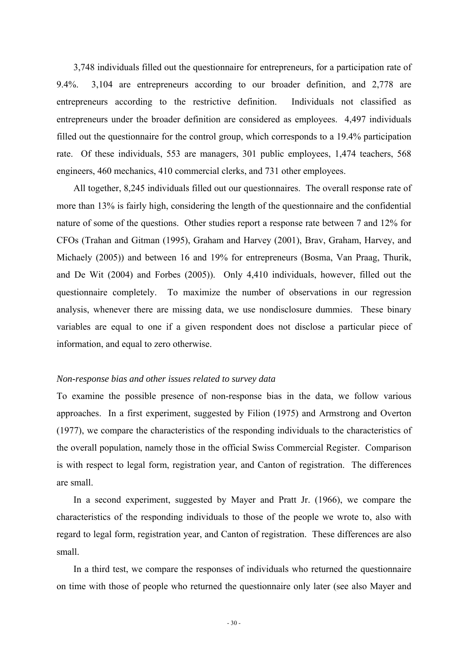3,748 individuals filled out the questionnaire for entrepreneurs, for a participation rate of 9.4%. 3,104 are entrepreneurs according to our broader definition, and 2,778 are entrepreneurs according to the restrictive definition. Individuals not classified as entrepreneurs under the broader definition are considered as employees. 4,497 individuals filled out the questionnaire for the control group, which corresponds to a 19.4% participation rate. Of these individuals, 553 are managers, 301 public employees, 1,474 teachers, 568 engineers, 460 mechanics, 410 commercial clerks, and 731 other employees.

All together, 8,245 individuals filled out our questionnaires. The overall response rate of more than 13% is fairly high, considering the length of the questionnaire and the confidential nature of some of the questions. Other studies report a response rate between 7 and 12% for CFOs (Trahan and Gitman (1995), Graham and Harvey (2001), Brav, Graham, Harvey, and Michaely (2005)) and between 16 and 19% for entrepreneurs (Bosma, Van Praag, Thurik, and De Wit (2004) and Forbes (2005)). Only 4,410 individuals, however, filled out the questionnaire completely. To maximize the number of observations in our regression analysis, whenever there are missing data, we use nondisclosure dummies. These binary variables are equal to one if a given respondent does not disclose a particular piece of information, and equal to zero otherwise.

### *Non-response bias and other issues related to survey data*

To examine the possible presence of non-response bias in the data, we follow various approaches. In a first experiment, suggested by Filion (1975) and Armstrong and Overton (1977), we compare the characteristics of the responding individuals to the characteristics of the overall population, namely those in the official Swiss Commercial Register. Comparison is with respect to legal form, registration year, and Canton of registration. The differences are small.

In a second experiment, suggested by Mayer and Pratt Jr. (1966), we compare the characteristics of the responding individuals to those of the people we wrote to, also with regard to legal form, registration year, and Canton of registration. These differences are also small.

In a third test, we compare the responses of individuals who returned the questionnaire on time with those of people who returned the questionnaire only later (see also Mayer and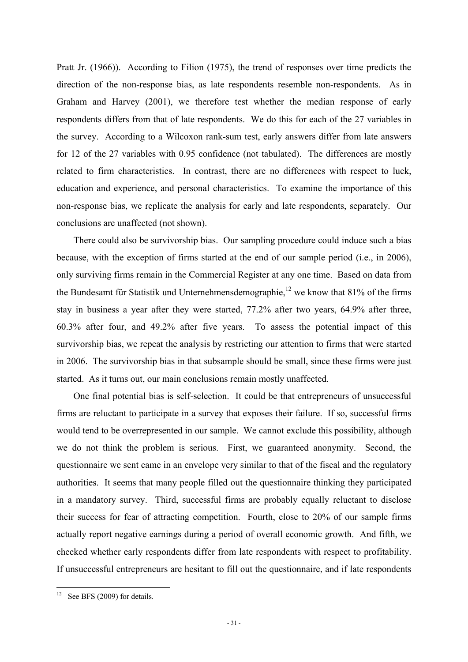Pratt Jr. (1966)). According to Filion (1975), the trend of responses over time predicts the direction of the non-response bias, as late respondents resemble non-respondents. As in Graham and Harvey (2001), we therefore test whether the median response of early respondents differs from that of late respondents. We do this for each of the 27 variables in the survey. According to a Wilcoxon rank-sum test, early answers differ from late answers for 12 of the 27 variables with 0.95 confidence (not tabulated). The differences are mostly related to firm characteristics. In contrast, there are no differences with respect to luck, education and experience, and personal characteristics. To examine the importance of this non-response bias, we replicate the analysis for early and late respondents, separately. Our conclusions are unaffected (not shown).

There could also be survivorship bias. Our sampling procedure could induce such a bias because, with the exception of firms started at the end of our sample period (i.e., in 2006), only surviving firms remain in the Commercial Register at any one time. Based on data from the Bundesamt für Statistik und Unternehmensdemographie,<sup>12</sup> we know that 81% of the firms stay in business a year after they were started, 77.2% after two years, 64.9% after three, 60.3% after four, and 49.2% after five years. To assess the potential impact of this survivorship bias, we repeat the analysis by restricting our attention to firms that were started in 2006. The survivorship bias in that subsample should be small, since these firms were just started. As it turns out, our main conclusions remain mostly unaffected.

One final potential bias is self-selection. It could be that entrepreneurs of unsuccessful firms are reluctant to participate in a survey that exposes their failure. If so, successful firms would tend to be overrepresented in our sample. We cannot exclude this possibility, although we do not think the problem is serious. First, we guaranteed anonymity. Second, the questionnaire we sent came in an envelope very similar to that of the fiscal and the regulatory authorities. It seems that many people filled out the questionnaire thinking they participated in a mandatory survey. Third, successful firms are probably equally reluctant to disclose their success for fear of attracting competition. Fourth, close to 20% of our sample firms actually report negative earnings during a period of overall economic growth. And fifth, we checked whether early respondents differ from late respondents with respect to profitability. If unsuccessful entrepreneurs are hesitant to fill out the questionnaire, and if late respondents

<u>.</u>

<sup>&</sup>lt;sup>12</sup> See BFS (2009) for details.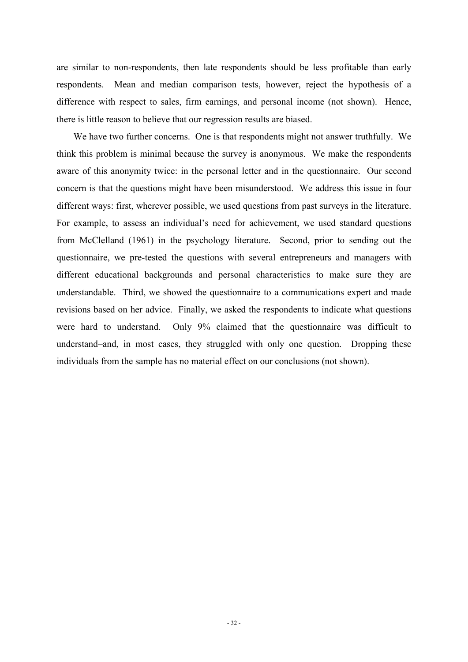are similar to non-respondents, then late respondents should be less profitable than early respondents. Mean and median comparison tests, however, reject the hypothesis of a difference with respect to sales, firm earnings, and personal income (not shown). Hence, there is little reason to believe that our regression results are biased.

We have two further concerns. One is that respondents might not answer truthfully. We think this problem is minimal because the survey is anonymous. We make the respondents aware of this anonymity twice: in the personal letter and in the questionnaire. Our second concern is that the questions might have been misunderstood. We address this issue in four different ways: first, wherever possible, we used questions from past surveys in the literature. For example, to assess an individual's need for achievement, we used standard questions from McClelland (1961) in the psychology literature. Second, prior to sending out the questionnaire, we pre-tested the questions with several entrepreneurs and managers with different educational backgrounds and personal characteristics to make sure they are understandable. Third, we showed the questionnaire to a communications expert and made revisions based on her advice. Finally, we asked the respondents to indicate what questions were hard to understand. Only 9% claimed that the questionnaire was difficult to understand–and, in most cases, they struggled with only one question. Dropping these individuals from the sample has no material effect on our conclusions (not shown).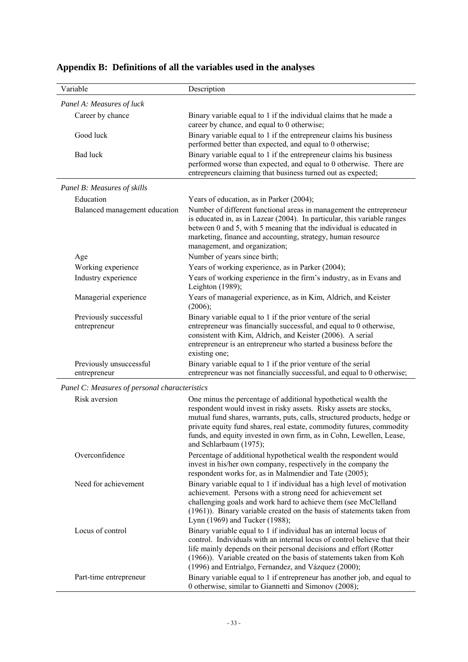| Variable                                      | Description                                                                                                                                                                                                                                                                                                                                                                                |
|-----------------------------------------------|--------------------------------------------------------------------------------------------------------------------------------------------------------------------------------------------------------------------------------------------------------------------------------------------------------------------------------------------------------------------------------------------|
| Panel A: Measures of luck                     |                                                                                                                                                                                                                                                                                                                                                                                            |
| Career by chance                              | Binary variable equal to 1 if the individual claims that he made a<br>career by chance, and equal to 0 otherwise;                                                                                                                                                                                                                                                                          |
| Good luck                                     | Binary variable equal to 1 if the entrepreneur claims his business<br>performed better than expected, and equal to 0 otherwise;                                                                                                                                                                                                                                                            |
| <b>Bad</b> luck                               | Binary variable equal to 1 if the entrepreneur claims his business<br>performed worse than expected, and equal to 0 otherwise. There are<br>entrepreneurs claiming that business turned out as expected;                                                                                                                                                                                   |
| Panel B: Measures of skills                   |                                                                                                                                                                                                                                                                                                                                                                                            |
| Education                                     | Years of education, as in Parker (2004);                                                                                                                                                                                                                                                                                                                                                   |
| Balanced management education                 | Number of different functional areas in management the entrepreneur<br>is educated in, as in Lazear (2004). In particular, this variable ranges<br>between 0 and 5, with 5 meaning that the individual is educated in<br>marketing, finance and accounting, strategy, human resource<br>management, and organization;                                                                      |
| Age                                           | Number of years since birth;                                                                                                                                                                                                                                                                                                                                                               |
| Working experience                            | Years of working experience, as in Parker (2004);                                                                                                                                                                                                                                                                                                                                          |
| Industry experience                           | Years of working experience in the firm's industry, as in Evans and<br>Leighton (1989);                                                                                                                                                                                                                                                                                                    |
| Managerial experience                         | Years of managerial experience, as in Kim, Aldrich, and Keister<br>(2006);                                                                                                                                                                                                                                                                                                                 |
| Previously successful<br>entrepreneur         | Binary variable equal to 1 if the prior venture of the serial<br>entrepreneur was financially successful, and equal to 0 otherwise,<br>consistent with Kim, Aldrich, and Keister (2006). A serial<br>entrepreneur is an entrepreneur who started a business before the<br>existing one;                                                                                                    |
| Previously unsuccessful<br>entrepreneur       | Binary variable equal to 1 if the prior venture of the serial<br>entrepreneur was not financially successful, and equal to 0 otherwise;                                                                                                                                                                                                                                                    |
| Panel C: Measures of personal characteristics |                                                                                                                                                                                                                                                                                                                                                                                            |
| Risk aversion                                 | One minus the percentage of additional hypothetical wealth the<br>respondent would invest in risky assets. Risky assets are stocks,<br>mutual fund shares, warrants, puts, calls, structured products, hedge or<br>private equity fund shares, real estate, commodity futures, commodity<br>funds, and equity invested in own firm, as in Cohn, Lewellen, Lease,<br>and Schlarbaum (1975); |
| Overconfidence                                | Percentage of additional hypothetical wealth the respondent would<br>invest in his/her own company, respectively in the company the<br>respondent works for, as in Malmendier and Tate (2005);                                                                                                                                                                                             |
| Need for achievement                          | Binary variable equal to 1 if individual has a high level of motivation<br>achievement. Persons with a strong need for achievement set<br>challenging goals and work hard to achieve them (see McClelland<br>(1961)). Binary variable created on the basis of statements taken from<br>Lynn (1969) and Tucker (1988);                                                                      |
| Locus of control                              | Binary variable equal to 1 if individual has an internal locus of<br>control. Individuals with an internal locus of control believe that their<br>life mainly depends on their personal decisions and effort (Rotter<br>(1966)). Variable created on the basis of statements taken from Koh<br>(1996) and Entrialgo, Fernandez, and Vázquez (2000);                                        |
| Part-time entrepreneur                        | Binary variable equal to 1 if entrepreneur has another job, and equal to<br>0 otherwise, similar to Giannetti and Simonov (2008);                                                                                                                                                                                                                                                          |

# **Appendix B: Definitions of all the variables used in the analyses**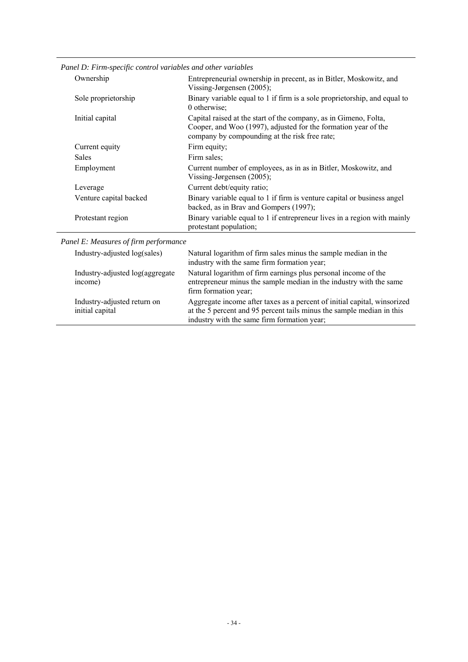| Ownership              | Entrepreneurial ownership in precent, as in Bitler, Moskowitz, and<br>Vissing-Jørgensen $(2005)$ ;                                                                                  |
|------------------------|-------------------------------------------------------------------------------------------------------------------------------------------------------------------------------------|
| Sole proprietorship    | Binary variable equal to 1 if firm is a sole proprietorship, and equal to<br>0 otherwise;                                                                                           |
| Initial capital        | Capital raised at the start of the company, as in Gimeno, Folta,<br>Cooper, and Woo (1997), adjusted for the formation year of the<br>company by compounding at the risk free rate; |
| Current equity         | Firm equity;                                                                                                                                                                        |
| Sales                  | Firm sales;                                                                                                                                                                         |
| Employment             | Current number of employees, as in as in Bitler, Moskowitz, and<br>Vissing-Jørgensen $(2005)$ ;                                                                                     |
| Leverage               | Current debt/equity ratio;                                                                                                                                                          |
| Venture capital backed | Binary variable equal to 1 if firm is venture capital or business angel<br>backed, as in Brav and Gompers (1997);                                                                   |
| Protestant region      | Binary variable equal to 1 if entrepreneur lives in a region with mainly<br>protestant population;                                                                                  |

*Panel D: Firm-specific control variables and other variables* 

*Panel E: Measures of firm performance* 

| Industry-adjusted log(sales)                   | Natural logarithm of firm sales minus the sample median in the<br>industry with the same firm formation year;                                                                                    |
|------------------------------------------------|--------------------------------------------------------------------------------------------------------------------------------------------------------------------------------------------------|
| Industry-adjusted log(aggregate<br>income)     | Natural logarithm of firm earnings plus personal income of the<br>entrepreneur minus the sample median in the industry with the same<br>firm formation year;                                     |
| Industry-adjusted return on<br>initial capital | Aggregate income after taxes as a percent of initial capital, winsorized<br>at the 5 percent and 95 percent tails minus the sample median in this<br>industry with the same firm formation year; |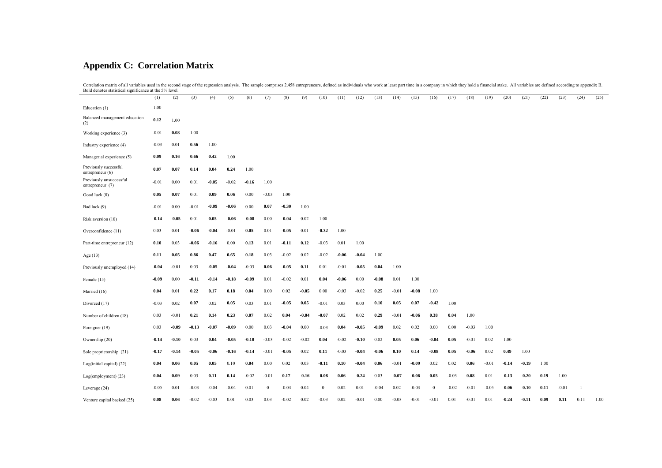# **Appendix C: Correlation Matrix**

Correlation matrix of all variables used in the second stage of the regression analysis. The sample comprises 2,458 entrepreneurs, defined as individuals who work at least part time in a company in which they hold a financ

|                                             | (1)     | (2)     | (3)     | (4)     | (5)      | (6)     | (7)          | (8)     | (9)     | (10)     | (11)    | (12)    | (13)    | (14)    | (15)    | (16)     | (17)    | (18)    | (19)    | (20)    | (21)    | (22) | (23)    | (24) | (25) |
|---------------------------------------------|---------|---------|---------|---------|----------|---------|--------------|---------|---------|----------|---------|---------|---------|---------|---------|----------|---------|---------|---------|---------|---------|------|---------|------|------|
| Education (1)                               | 1.00    |         |         |         |          |         |              |         |         |          |         |         |         |         |         |          |         |         |         |         |         |      |         |      |      |
| Balanced management education<br>(2)        | 0.12    | 1.00    |         |         |          |         |              |         |         |          |         |         |         |         |         |          |         |         |         |         |         |      |         |      |      |
| Working experience (3)                      | $-0.01$ | 0.08    | 1.00    |         |          |         |              |         |         |          |         |         |         |         |         |          |         |         |         |         |         |      |         |      |      |
| Industry experience (4)                     | $-0.03$ | 0.01    | 0.56    | 1.00    |          |         |              |         |         |          |         |         |         |         |         |          |         |         |         |         |         |      |         |      |      |
| Managerial experience (5)                   | 0.09    | 0.16    | 0.66    | 0.42    | 1.00     |         |              |         |         |          |         |         |         |         |         |          |         |         |         |         |         |      |         |      |      |
| Previously successful<br>entrepreneur (6)   | 0.07    | 0.07    | 0.14    | 0.04    | 0.24     | 1.00    |              |         |         |          |         |         |         |         |         |          |         |         |         |         |         |      |         |      |      |
| Previously unsuccessful<br>entrepreneur (7) | $-0.01$ | 0.00    | 0.01    | $-0.05$ | $-0.02$  | $-0.16$ | 1.00         |         |         |          |         |         |         |         |         |          |         |         |         |         |         |      |         |      |      |
| Good luck (8)                               | 0.05    | 0.07    | 0.01    | 0.09    | 0.06     | 0.00    | $-0.03$      | 1.00    |         |          |         |         |         |         |         |          |         |         |         |         |         |      |         |      |      |
| Bad luck (9)                                | $-0.01$ | 0.00    | $-0.01$ | $-0.09$ | $-0.06$  | 0.00    | 0.07         | $-0.30$ | 1.00    |          |         |         |         |         |         |          |         |         |         |         |         |      |         |      |      |
| Risk aversion (10)                          | $-0.14$ | $-0.05$ | 0.01    | 0.05    | $-0.06$  | $-0.08$ | $0.00\,$     | $-0.04$ | 0.02    | 1.00     |         |         |         |         |         |          |         |         |         |         |         |      |         |      |      |
| Overconfidence (11)                         | 0.03    | 0.01    | $-0.06$ | $-0.04$ | $-0.01$  | 0.05    | 0.01         | $-0.05$ | 0.01    | $-0.32$  | 1.00    |         |         |         |         |          |         |         |         |         |         |      |         |      |      |
| Part-time entrepreneur (12)                 | 0.10    | 0.03    | $-0.06$ | $-0.16$ | $0.00\,$ | 0.13    | 0.01         | $-0.11$ | 0.12    | $-0.03$  | 0.01    | 1.00    |         |         |         |          |         |         |         |         |         |      |         |      |      |
| Age $(13)$                                  | 0.11    | 0.05    | 0.86    | 0.47    | 0.65     | 0.18    | 0.03         | $-0.02$ | 0.02    | $-0.02$  | $-0.06$ | $-0.04$ | 1.00    |         |         |          |         |         |         |         |         |      |         |      |      |
| Previously unemployed (14)                  | $-0.04$ | $-0.01$ | 0.03    | $-0.05$ | $-0.04$  | $-0.03$ | 0.06         | $-0.05$ | 0.11    | $0.01\,$ | $-0.01$ | $-0.05$ | 0.04    | 1.00    |         |          |         |         |         |         |         |      |         |      |      |
| Female (15)                                 | $-0.09$ | 0.00    | $-0.11$ | $-0.14$ | $-0.18$  | $-0.09$ | 0.01         | $-0.02$ | 0.01    | 0.04     | $-0.06$ | 0.00    | $-0.08$ | 0.01    | 1.00    |          |         |         |         |         |         |      |         |      |      |
| Married (16)                                | 0.04    | 0.01    | 0.22    | 0.17    | 0.18     | 0.04    | $0.00\,$     | 0.02    | $-0.05$ | 0.00     | $-0.03$ | $-0.02$ | 0.25    | $-0.01$ | $-0.08$ | 1.00     |         |         |         |         |         |      |         |      |      |
| Divorced (17)                               | $-0.03$ | 0.02    | 0.07    | 0.02    | 0.05     | 0.03    | 0.01         | $-0.05$ | 0.05    | $-0.01$  | 0.03    | 0.00    | 0.10    | 0.05    | 0.07    | $-0.42$  | 1.00    |         |         |         |         |      |         |      |      |
| Number of children (18)                     | 0.03    | $-0.01$ | 0.21    | 0.14    | 0.23     | 0.07    | 0.02         | 0.04    | $-0.04$ | $-0.07$  | 0.02    | 0.02    | 0.29    | $-0.01$ | $-0.06$ | 0.38     | 0.04    | 1.00    |         |         |         |      |         |      |      |
| Foreigner (19)                              | 0.03    | $-0.09$ | $-0.13$ | $-0.07$ | $-0.09$  | 0.00    | 0.03         | $-0.04$ | 0.00    | $-0.03$  | 0.04    | $-0.05$ | $-0.09$ | 0.02    | 0.02    | 0.00     | 0.00    | $-0.03$ | 1.00    |         |         |      |         |      |      |
| Ownership (20)                              | $-0.14$ | $-0.10$ | 0.03    | 0.04    | $-0.05$  | $-0.10$ | $-0.03$      | $-0.02$ | $-0.02$ | 0.04     | $-0.02$ | $-0.10$ | 0.02    | 0.05    | 0.06    | $-0.04$  | 0.05    | $-0.01$ | 0.02    | 1.00    |         |      |         |      |      |
| Sole proprietorship (21)                    | $-0.17$ | $-0.14$ | $-0.05$ | $-0.06$ | $-0.16$  | $-0.14$ | $-0.01$      | $-0.05$ | 0.02    | 0.11     | $-0.03$ | $-0.04$ | $-0.06$ | 0.10    | 0.14    | $-0.08$  | 0.05    | $-0.06$ | 0.02    | 0.49    | 1.00    |      |         |      |      |
| Log(initial capital) (22)                   | 0.04    | 0.06    | 0.05    | 0.05    | 0.10     | 0.04    | 0.00         | 0.02    | 0.03    | $-0.11$  | 0.10    | $-0.04$ | 0.06    | $-0.01$ | $-0.09$ | 0.02     | 0.02    | 0.06    | $-0.01$ | $-0.14$ | $-0.19$ | 1.00 |         |      |      |
| Log(employment) (23)                        | 0.04    | 0.09    | 0.03    | 0.11    | 0.14     | $-0.02$ | $-0.01$      | 0.17    | $-0.16$ | $-0.08$  | 0.06    | $-0.24$ | 0.03    | $-0.07$ | $-0.06$ | 0.05     | $-0.03$ | 0.08    | 0.01    | $-0.13$ | $-0.20$ | 0.19 | 1.00    |      |      |
| Leverage (24)                               | $-0.05$ | 0.01    | $-0.03$ | $-0.04$ | $-0.04$  | 0.01    | $\mathbf{0}$ | $-0.04$ | 0.04    | $\bf{0}$ | 0.02    | 0.01    | $-0.04$ | 0.02    | $-0.03$ | $\bf{0}$ | $-0.02$ | $-0.01$ | $-0.05$ | $-0.06$ | $-0.10$ | 0.11 | $-0.01$ |      |      |
| Venture capital backed (25)                 | 0.08    | 0.06    | $-0.02$ | $-0.03$ | 0.01     | 0.03    | 0.03         | $-0.02$ | 0.02    | $-0.03$  | 0.02    | $-0.01$ | 0.00    | $-0.03$ | $-0.01$ | $-0.01$  | 0.01    | $-0.01$ | 0.01    | $-0.24$ | $-0.11$ | 0.09 | 0.11    | 0.11 | 1.00 |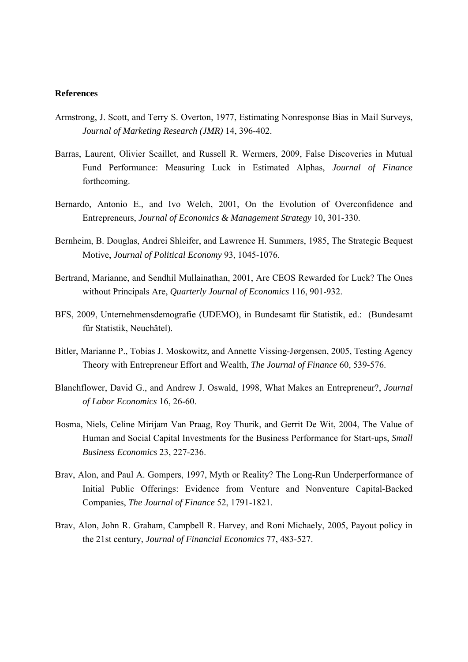# **References**

- Armstrong, J. Scott, and Terry S. Overton, 1977, Estimating Nonresponse Bias in Mail Surveys, *Journal of Marketing Research (JMR)* 14, 396-402.
- Barras, Laurent, Olivier Scaillet, and Russell R. Wermers, 2009, False Discoveries in Mutual Fund Performance: Measuring Luck in Estimated Alphas, *Journal of Finance* forthcoming.
- Bernardo, Antonio E., and Ivo Welch, 2001, On the Evolution of Overconfidence and Entrepreneurs, *Journal of Economics & Management Strategy* 10, 301-330.
- Bernheim, B. Douglas, Andrei Shleifer, and Lawrence H. Summers, 1985, The Strategic Bequest Motive, *Journal of Political Economy* 93, 1045-1076.
- Bertrand, Marianne, and Sendhil Mullainathan, 2001, Are CEOS Rewarded for Luck? The Ones without Principals Are, *Quarterly Journal of Economics* 116, 901-932.
- BFS, 2009, Unternehmensdemografie (UDEMO), in Bundesamt für Statistik, ed.: (Bundesamt für Statistik, Neuchâtel).
- Bitler, Marianne P., Tobias J. Moskowitz, and Annette Vissing-Jørgensen, 2005, Testing Agency Theory with Entrepreneur Effort and Wealth, *The Journal of Finance* 60, 539-576.
- Blanchflower, David G., and Andrew J. Oswald, 1998, What Makes an Entrepreneur?, *Journal of Labor Economics* 16, 26-60.
- Bosma, Niels, Celine Mirijam Van Praag, Roy Thurik, and Gerrit De Wit, 2004, The Value of Human and Social Capital Investments for the Business Performance for Start-ups, *Small Business Economics* 23, 227-236.
- Brav, Alon, and Paul A. Gompers, 1997, Myth or Reality? The Long-Run Underperformance of Initial Public Offerings: Evidence from Venture and Nonventure Capital-Backed Companies, *The Journal of Finance* 52, 1791-1821.
- Brav, Alon, John R. Graham, Campbell R. Harvey, and Roni Michaely, 2005, Payout policy in the 21st century, *Journal of Financial Economics* 77, 483-527.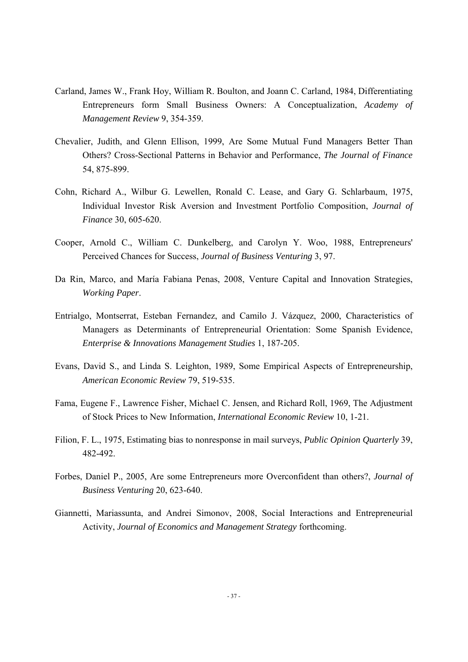- Carland, James W., Frank Hoy, William R. Boulton, and Joann C. Carland, 1984, Differentiating Entrepreneurs form Small Business Owners: A Conceptualization, *Academy of Management Review* 9, 354-359.
- Chevalier, Judith, and Glenn Ellison, 1999, Are Some Mutual Fund Managers Better Than Others? Cross-Sectional Patterns in Behavior and Performance, *The Journal of Finance* 54, 875-899.
- Cohn, Richard A., Wilbur G. Lewellen, Ronald C. Lease, and Gary G. Schlarbaum, 1975, Individual Investor Risk Aversion and Investment Portfolio Composition, *Journal of Finance* 30, 605-620.
- Cooper, Arnold C., William C. Dunkelberg, and Carolyn Y. Woo, 1988, Entrepreneurs' Perceived Chances for Success, *Journal of Business Venturing* 3, 97.
- Da Rin, Marco, and María Fabiana Penas, 2008, Venture Capital and Innovation Strategies, *Working Paper*.
- Entrialgo, Montserrat, Esteban Fernandez, and Camilo J. Vázquez, 2000, Characteristics of Managers as Determinants of Entrepreneurial Orientation: Some Spanish Evidence, *Enterprise & Innovations Management Studies* 1, 187-205.
- Evans, David S., and Linda S. Leighton, 1989, Some Empirical Aspects of Entrepreneurship, *American Economic Review* 79, 519-535.
- Fama, Eugene F., Lawrence Fisher, Michael C. Jensen, and Richard Roll, 1969, The Adjustment of Stock Prices to New Information, *International Economic Review* 10, 1-21.
- Filion, F. L., 1975, Estimating bias to nonresponse in mail surveys, *Public Opinion Quarterly* 39, 482-492.
- Forbes, Daniel P., 2005, Are some Entrepreneurs more Overconfident than others?, *Journal of Business Venturing* 20, 623-640.
- Giannetti, Mariassunta, and Andrei Simonov, 2008, Social Interactions and Entrepreneurial Activity, *Journal of Economics and Management Strategy* forthcoming.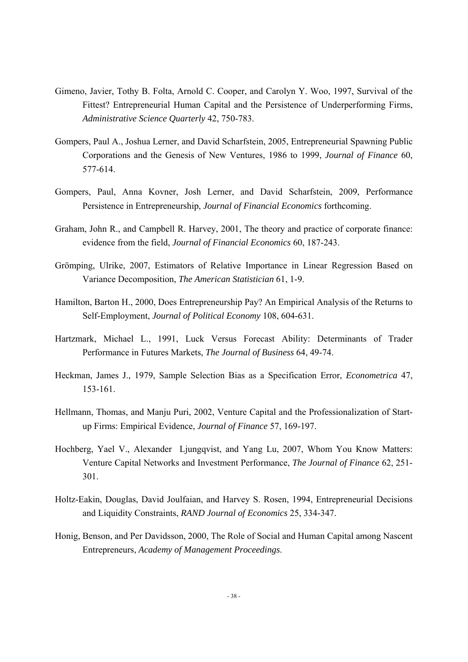- Gimeno, Javier, Tothy B. Folta, Arnold C. Cooper, and Carolyn Y. Woo, 1997, Survival of the Fittest? Entrepreneurial Human Capital and the Persistence of Underperforming Firms, *Administrative Science Quarterly* 42, 750-783.
- Gompers, Paul A., Joshua Lerner, and David Scharfstein, 2005, Entrepreneurial Spawning Public Corporations and the Genesis of New Ventures, 1986 to 1999, *Journal of Finance* 60, 577-614.
- Gompers, Paul, Anna Kovner, Josh Lerner, and David Scharfstein, 2009, Performance Persistence in Entrepreneurship, *Journal of Financial Economics* forthcoming.
- Graham, John R., and Campbell R. Harvey, 2001, The theory and practice of corporate finance: evidence from the field, *Journal of Financial Economics* 60, 187-243.
- Grömping, Ulrike, 2007, Estimators of Relative Importance in Linear Regression Based on Variance Decomposition, *The American Statistician* 61, 1-9.
- Hamilton, Barton H., 2000, Does Entrepreneurship Pay? An Empirical Analysis of the Returns to Self-Employment, *Journal of Political Economy* 108, 604-631.
- Hartzmark, Michael L., 1991, Luck Versus Forecast Ability: Determinants of Trader Performance in Futures Markets, *The Journal of Business* 64, 49-74.
- Heckman, James J., 1979, Sample Selection Bias as a Specification Error, *Econometrica* 47, 153-161.
- Hellmann, Thomas, and Manju Puri, 2002, Venture Capital and the Professionalization of Startup Firms: Empirical Evidence, *Journal of Finance* 57, 169-197.
- Hochberg, Yael V., Alexander Ljungqvist, and Yang Lu, 2007, Whom You Know Matters: Venture Capital Networks and Investment Performance, *The Journal of Finance* 62, 251- 301.
- Holtz-Eakin, Douglas, David Joulfaian, and Harvey S. Rosen, 1994, Entrepreneurial Decisions and Liquidity Constraints, *RAND Journal of Economics* 25, 334-347.
- Honig, Benson, and Per Davidsson, 2000, The Role of Social and Human Capital among Nascent Entrepreneurs, *Academy of Management Proceedings*.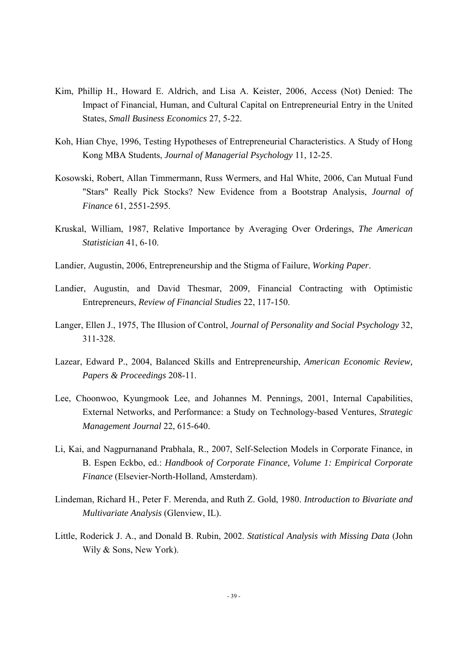- Kim, Phillip H., Howard E. Aldrich, and Lisa A. Keister, 2006, Access (Not) Denied: The Impact of Financial, Human, and Cultural Capital on Entrepreneurial Entry in the United States, *Small Business Economics* 27, 5-22.
- Koh, Hian Chye, 1996, Testing Hypotheses of Entrepreneurial Characteristics. A Study of Hong Kong MBA Students, *Journal of Managerial Psychology* 11, 12-25.
- Kosowski, Robert, Allan Timmermann, Russ Wermers, and Hal White, 2006, Can Mutual Fund "Stars" Really Pick Stocks? New Evidence from a Bootstrap Analysis, *Journal of Finance* 61, 2551-2595.
- Kruskal, William, 1987, Relative Importance by Averaging Over Orderings, *The American Statistician* 41, 6-10.
- Landier, Augustin, 2006, Entrepreneurship and the Stigma of Failure, *Working Paper*.
- Landier, Augustin, and David Thesmar, 2009, Financial Contracting with Optimistic Entrepreneurs, *Review of Financial Studies* 22, 117-150.
- Langer, Ellen J., 1975, The Illusion of Control, *Journal of Personality and Social Psychology* 32, 311-328.
- Lazear, Edward P., 2004, Balanced Skills and Entrepreneurship, *American Economic Review, Papers & Proceedings* 208-11.
- Lee, Choonwoo, Kyungmook Lee, and Johannes M. Pennings, 2001, Internal Capabilities, External Networks, and Performance: a Study on Technology-based Ventures, *Strategic Management Journal* 22, 615-640.
- Li, Kai, and Nagpurnanand Prabhala, R., 2007, Self-Selection Models in Corporate Finance, in B. Espen Eckbo, ed.: *Handbook of Corporate Finance, Volume 1: Empirical Corporate Finance* (Elsevier-North-Holland, Amsterdam).
- Lindeman, Richard H., Peter F. Merenda, and Ruth Z. Gold, 1980. *Introduction to Bivariate and Multivariate Analysis* (Glenview, IL).
- Little, Roderick J. A., and Donald B. Rubin, 2002. *Statistical Analysis with Missing Data* (John Wily & Sons, New York).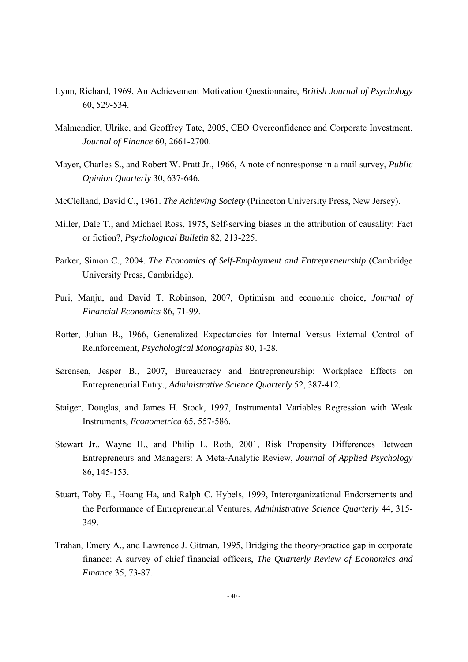- Lynn, Richard, 1969, An Achievement Motivation Questionnaire, *British Journal of Psychology*  60, 529-534.
- Malmendier, Ulrike, and Geoffrey Tate, 2005, CEO Overconfidence and Corporate Investment, *Journal of Finance* 60, 2661-2700.
- Mayer, Charles S., and Robert W. Pratt Jr., 1966, A note of nonresponse in a mail survey, *Public Opinion Quarterly* 30, 637-646.
- McClelland, David C., 1961. *The Achieving Society* (Princeton University Press, New Jersey).
- Miller, Dale T., and Michael Ross, 1975, Self-serving biases in the attribution of causality: Fact or fiction?, *Psychological Bulletin* 82, 213-225.
- Parker, Simon C., 2004. *The Economics of Self-Employment and Entrepreneurship* (Cambridge University Press, Cambridge).
- Puri, Manju, and David T. Robinson, 2007, Optimism and economic choice, *Journal of Financial Economics* 86, 71-99.
- Rotter, Julian B., 1966, Generalized Expectancies for Internal Versus External Control of Reinforcement, *Psychological Monographs* 80, 1-28.
- Sørensen, Jesper B., 2007, Bureaucracy and Entrepreneurship: Workplace Effects on Entrepreneurial Entry., *Administrative Science Quarterly* 52, 387-412.
- Staiger, Douglas, and James H. Stock, 1997, Instrumental Variables Regression with Weak Instruments, *Econometrica* 65, 557-586.
- Stewart Jr., Wayne H., and Philip L. Roth, 2001, Risk Propensity Differences Between Entrepreneurs and Managers: A Meta-Analytic Review, *Journal of Applied Psychology* 86, 145-153.
- Stuart, Toby E., Hoang Ha, and Ralph C. Hybels, 1999, Interorganizational Endorsements and the Performance of Entrepreneurial Ventures, *Administrative Science Quarterly* 44, 315- 349.
- Trahan, Emery A., and Lawrence J. Gitman, 1995, Bridging the theory-practice gap in corporate finance: A survey of chief financial officers, *The Quarterly Review of Economics and Finance* 35, 73-87.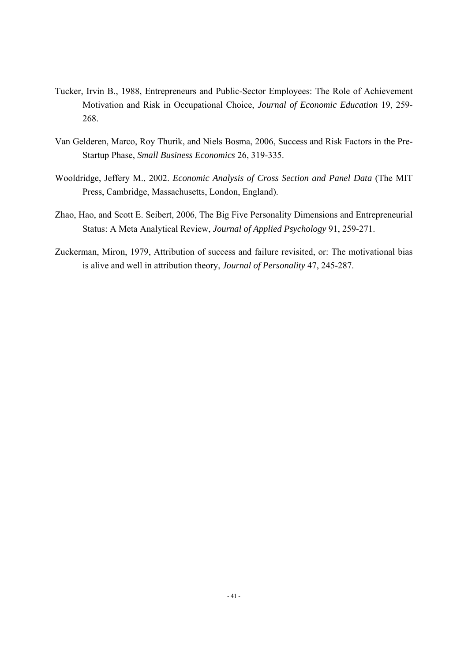- Tucker, Irvin B., 1988, Entrepreneurs and Public-Sector Employees: The Role of Achievement Motivation and Risk in Occupational Choice, *Journal of Economic Education* 19, 259- 268.
- Van Gelderen, Marco, Roy Thurik, and Niels Bosma, 2006, Success and Risk Factors in the Pre-Startup Phase, *Small Business Economics* 26, 319-335.
- Wooldridge, Jeffery M., 2002. *Economic Analysis of Cross Section and Panel Data* (The MIT Press, Cambridge, Massachusetts, London, England).
- Zhao, Hao, and Scott E. Seibert, 2006, The Big Five Personality Dimensions and Entrepreneurial Status: A Meta Analytical Review, *Journal of Applied Psychology* 91, 259-271.
- Zuckerman, Miron, 1979, Attribution of success and failure revisited, or: The motivational bias is alive and well in attribution theory, *Journal of Personality* 47, 245-287.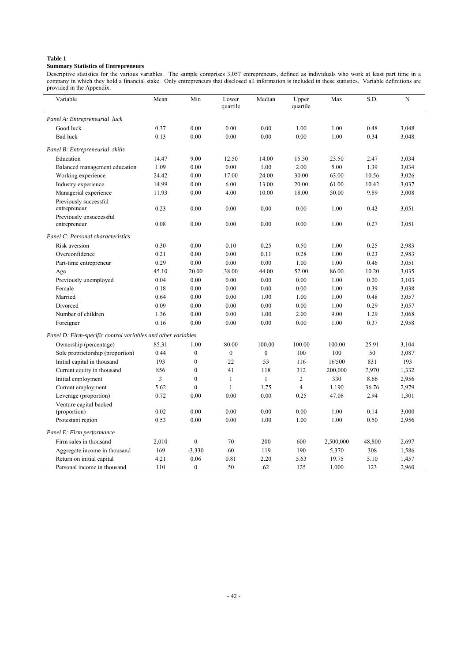#### **Summary Statistics of Entrepreneurs**

Descriptive statistics for the various variables. The sample comprises 3,057 entrepreneurs, defined as individuals who work at least part time in a company in which they hold a financial stake. Only entrepreneurs that disclosed all information is included in these statistics. Variable definitions are provided in the Appendix.

| Variable                                                     | Mean  | Min              | Lower<br>quartile | Median           | Upper<br>quartile | Max       | S.D.   | N     |
|--------------------------------------------------------------|-------|------------------|-------------------|------------------|-------------------|-----------|--------|-------|
| Panel A: Entrepreneurial luck                                |       |                  |                   |                  |                   |           |        |       |
| Good luck                                                    | 0.37  | 0.00             | 0.00              | 0.00             | 1.00              | 1.00      | 0.48   | 3,048 |
| <b>Bad luck</b>                                              | 0.13  | 0.00             | 0.00              | $0.00\,$         | 0.00              | 1.00      | 0.34   | 3,048 |
| Panel B: Entrepreneurial skills                              |       |                  |                   |                  |                   |           |        |       |
| Education                                                    | 14.47 | 9.00             | 12.50             | 14.00            | 15.50             | 23.50     | 2.47   | 3,034 |
| Balanced management education                                | 1.09  | 0.00             | 0.00              | 1.00             | 2.00              | 5.00      | 1.39   | 3,034 |
| Working experience                                           | 24.42 | 0.00             | 17.00             | 24.00            | 30.00             | 63.00     | 10.56  | 3,026 |
| Industry experience                                          | 14.99 | 0.00             | 6.00              | 13.00            | 20.00             | 61.00     | 10.42  | 3,037 |
| Managerial experience                                        | 11.93 | 0.00             | 4.00              | 10.00            | 18.00             | 50.00     | 9.89   | 3,008 |
| Previously successful                                        |       |                  |                   |                  |                   |           |        |       |
| entrepreneur                                                 | 0.23  | 0.00             | 0.00              | 0.00             | 0.00              | 1.00      | 0.42   | 3,051 |
| Previously unsuccessful                                      |       |                  |                   |                  |                   |           |        |       |
| entrepreneur                                                 | 0.08  | 0.00             | 0.00              | 0.00             | 0.00              | 1.00      | 0.27   | 3,051 |
| Panel C: Personal characteristics                            |       |                  |                   |                  |                   |           |        |       |
| Risk aversion                                                | 0.30  | 0.00             | 0.10              | 0.25             | 0.50              | 1.00      | 0.25   | 2,983 |
| Overconfidence                                               | 0.21  | 0.00             | 0.00              | 0.11             | 0.28              | 1.00      | 0.23   | 2,983 |
| Part-time entrepreneur                                       | 0.29  | 0.00             | 0.00              | 0.00             | 1.00              | 1.00      | 0.46   | 3,051 |
| Age                                                          | 45.10 | 20.00            | 38.00             | 44.00            | 52.00             | 86.00     | 10.20  | 3,035 |
| Previously unemployed                                        | 0.04  | 0.00             | 0.00              | 0.00             | 0.00              | 1.00      | 0.20   | 3,103 |
| Female                                                       | 0.18  | 0.00             | 0.00              | 0.00             | 0.00              | 1.00      | 0.39   | 3,038 |
| Married                                                      | 0.64  | 0.00             | 0.00              | 1.00             | 1.00              | 1.00      | 0.48   | 3,057 |
| Divorced                                                     | 0.09  | 0.00             | 0.00              | 0.00             | 0.00              | 1.00      | 0.29   | 3,057 |
| Number of children                                           | 1.36  | 0.00             | 0.00              | 1.00             | 2.00              | 9.00      | 1.29   | 3,068 |
| Foreigner                                                    | 0.16  | 0.00             | 0.00              | 0.00             | 0.00              | 1.00      | 0.37   | 2,958 |
| Panel D: Firm-specific control variables and other variables |       |                  |                   |                  |                   |           |        |       |
| Ownership (percentage)                                       | 85.31 | 1.00             | 80.00             | 100.00           | 100.00            | 100.00    | 25.91  | 3,104 |
| Sole proprietorship (proportion)                             | 0.44  | $\boldsymbol{0}$ | $\boldsymbol{0}$  | $\boldsymbol{0}$ | 100               | 100       | 50     | 3,087 |
| Initial capital in thousand                                  | 193   | $\boldsymbol{0}$ | 22                | 53               | 116               | 16'500    | 831    | 193   |
| Current equity in thousand                                   | 856   | $\boldsymbol{0}$ | 41                | 118              | 312               | 200,000   | 7,970  | 1,332 |
| Initial employment                                           | 3     | $\boldsymbol{0}$ | $\mathbf{1}$      | $\mathbf{1}$     | $\overline{c}$    | 330       | 8.66   | 2,956 |
| Current employment                                           | 5.62  | $\theta$         | $\mathbf{1}$      | 1.75             | $\overline{4}$    | 1,190     | 36.76  | 2,979 |
| Leverage (proportion)                                        | 0.72  | 0.00             | 0.00              | 0.00             | 0.25              | 47.08     | 2.94   | 1,301 |
| Venture capital backed                                       |       |                  |                   |                  |                   |           |        |       |
| (proportion)                                                 | 0.02  | 0.00             | 0.00              | 0.00             | 0.00              | 1.00      | 0.14   | 3,000 |
| Protestant region                                            | 0.53  | 0.00             | 0.00              | 1.00             | 1.00              | 1.00      | 0.50   | 2,956 |
| Panel E: Firm performance                                    |       |                  |                   |                  |                   |           |        |       |
| Firm sales in thousand                                       | 2,010 | $\overline{0}$   | 70                | 200              | 600               | 2,500,000 | 48,800 | 2,697 |
| Aggregate income in thousand                                 | 169   | $-3,330$         | 60                | 119              | 190               | 5,370     | 308    | 1,586 |
| Return on initial capital                                    | 4.21  | 0.06             | 0.81              | 2.20             | 5.63              | 19.75     | 5.10   | 1,457 |
| Personal income in thousand                                  | 110   | $\overline{0}$   | 50                | 62               | 125               | 1,000     | 123    | 2,960 |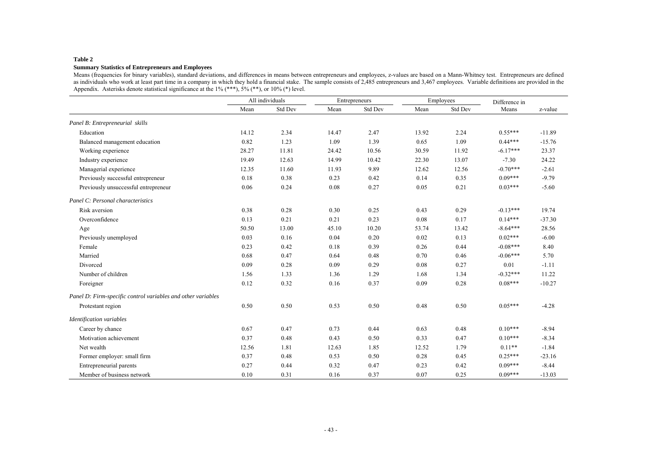#### **Summary Statistics of Entrepreneurs and Employees**

Means (frequencies for binary variables), standard deviations, and differences in means between entrepreneurs and employees, z-values are based on a Mann-Whitney test. Entrepreneurs are defined as individuals who work at least part time in a company in which they hold a financial stake. The sample consists of 2,485 entrepreneurs and 3,467 employees. Variable definitions are provided in the Appendix. Asterisks denote statistical significance at the  $1\%$  (\*\*\*),  $5\%$  (\*\*), or  $10\%$  (\*) level.

|                                                              |       | All individuals |       | Entrepreneurs |       | Employees | Difference in |          |
|--------------------------------------------------------------|-------|-----------------|-------|---------------|-------|-----------|---------------|----------|
|                                                              | Mean  | Std Dev         | Mean  | Std Dev       | Mean  | Std Dev   | Means         | z-value  |
| Panel B: Entrepreneurial skills                              |       |                 |       |               |       |           |               |          |
| Education                                                    | 14.12 | 2.34            | 14.47 | 2.47          | 13.92 | 2.24      | $0.55***$     | $-11.89$ |
| Balanced management education                                | 0.82  | 1.23            | 1.09  | 1.39          | 0.65  | 1.09      | $0.44***$     | $-15.76$ |
| Working experience                                           | 28.27 | 11.81           | 24.42 | 10.56         | 30.59 | 11.92     | $-6.17***$    | 23.37    |
| Industry experience                                          | 19.49 | 12.63           | 14.99 | 10.42         | 22.30 | 13.07     | $-7.30$       | 24.22    |
| Managerial experience                                        | 12.35 | 11.60           | 11.93 | 9.89          | 12.62 | 12.56     | $-0.70***$    | $-2.61$  |
| Previously successful entrepreneur                           | 0.18  | 0.38            | 0.23  | 0.42          | 0.14  | 0.35      | $0.09***$     | $-9.79$  |
| Previously unsuccessful entrepreneur                         | 0.06  | 0.24            | 0.08  | 0.27          | 0.05  | 0.21      | $0.03***$     | $-5.60$  |
| Panel C: Personal characteristics                            |       |                 |       |               |       |           |               |          |
| Risk aversion                                                | 0.38  | 0.28            | 0.30  | 0.25          | 0.43  | 0.29      | $-0.13***$    | 19.74    |
| Overconfidence                                               | 0.13  | 0.21            | 0.21  | 0.23          | 0.08  | 0.17      | $0.14***$     | $-37.30$ |
| Age                                                          | 50.50 | 13.00           | 45.10 | 10.20         | 53.74 | 13.42     | $-8.64***$    | 28.56    |
| Previously unemployed                                        | 0.03  | 0.16            | 0.04  | 0.20          | 0.02  | 0.13      | $0.02***$     | $-6.00$  |
| Female                                                       | 0.23  | 0.42            | 0.18  | 0.39          | 0.26  | 0.44      | $-0.08***$    | 8.40     |
| Married                                                      | 0.68  | 0.47            | 0.64  | 0.48          | 0.70  | 0.46      | $-0.06***$    | 5.70     |
| Divorced                                                     | 0.09  | 0.28            | 0.09  | 0.29          | 0.08  | 0.27      | 0.01          | $-1.11$  |
| Number of children                                           | 1.56  | 1.33            | 1.36  | 1.29          | 1.68  | 1.34      | $-0.32***$    | 11.22    |
| Foreigner                                                    | 0.12  | 0.32            | 0.16  | 0.37          | 0.09  | 0.28      | $0.08***$     | $-10.27$ |
| Panel D: Firm-specific control variables and other variables |       |                 |       |               |       |           |               |          |
| Protestant region                                            | 0.50  | 0.50            | 0.53  | 0.50          | 0.48  | 0.50      | $0.05***$     | $-4.28$  |
| <b>Identification</b> variables                              |       |                 |       |               |       |           |               |          |
| Career by chance                                             | 0.67  | 0.47            | 0.73  | 0.44          | 0.63  | 0.48      | $0.10***$     | $-8.94$  |
| Motivation achievement                                       | 0.37  | 0.48            | 0.43  | 0.50          | 0.33  | 0.47      | $0.10***$     | $-8.34$  |
| Net wealth                                                   | 12.56 | 1.81            | 12.63 | 1.85          | 12.52 | 1.79      | $0.11**$      | $-1.84$  |
| Former employer: small firm                                  | 0.37  | 0.48            | 0.53  | 0.50          | 0.28  | 0.45      | $0.25***$     | $-23.16$ |
| Entrepreneurial parents                                      | 0.27  | 0.44            | 0.32  | 0.47          | 0.23  | 0.42      | $0.09***$     | $-8.44$  |
| Member of business network                                   | 0.10  | 0.31            | 0.16  | 0.37          | 0.07  | 0.25      | $0.09***$     | $-13.03$ |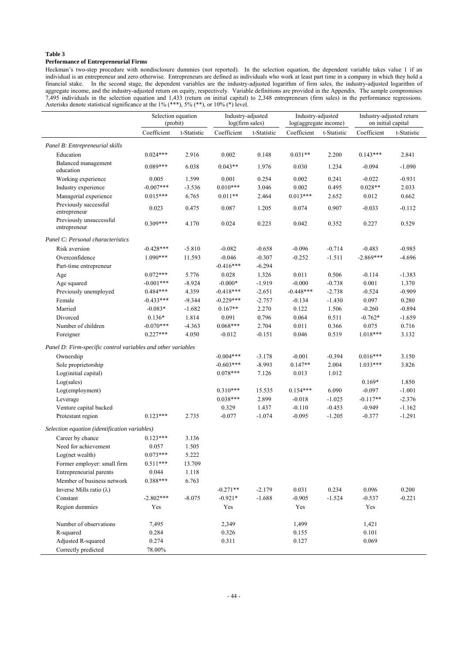### **Performance of Entrepreneurial Firms**

Heckman's two-step procedure with nondisclosure dummies (not reported). In the selection equation, the dependent variable takes value 1 if an individual is an entrepreneur and zero otherwise. Entrepreneurs are defined as individuals who work at least part time in a company in which they hold a financial stake. In the second stage, the dependent variables are the industry-adjusted logarithm of firm sales, the industry-adjusted logarithm of aggregate income, and the industry-adjusted return on equity, respectively. Variable definitions are provided in the Appendix. The sample compromises 7,495 individuals in the selection equation and 1,433 (return on initial capital) to 2,348 entrepreneurs (firm sales) in the performance regressions. Asterisks denote statistical significance at the 1% (\*\*\*), 5% (\*\*), or 10% (\*) level.

|                                                              | Selection equation<br>(probit) |             | Industry-adjusted<br>log(firm sales) |             | Industry-adjusted<br>log(aggregate income) |             | Industry-adjusted return<br>on initial capital |             |
|--------------------------------------------------------------|--------------------------------|-------------|--------------------------------------|-------------|--------------------------------------------|-------------|------------------------------------------------|-------------|
|                                                              | Coefficient                    | t-Statistic | Coefficient                          | t-Statistic | Coefficient                                | t-Statistic | Coefficient                                    | t-Statistic |
| Panel B: Entrepreneurial skills                              |                                |             |                                      |             |                                            |             |                                                |             |
| Education                                                    | $0.024***$                     | 2.916       | 0.002                                | 0.148       | $0.031**$                                  | 2.200       | $0.143***$                                     | 2.841       |
| Balanced management<br>education                             | $0.089***$                     | 6.038       | $0.043**$                            | 1.976       | 0.030                                      | 1.234       | $-0.094$                                       | $-1.090$    |
| Working experience                                           | 0.005                          | 1.599       | 0.001                                | 0.254       | 0.002                                      | 0.241       | $-0.022$                                       | $-0.931$    |
| Industry experience                                          | $-0.007***$                    | $-3.536$    | $0.010***$                           | 3.046       | 0.002                                      | 0.495       | $0.028**$                                      | 2.033       |
| Managerial experience                                        | $0.015***$                     | 6.765       | $0.011**$                            | 2.464       | $0.013***$                                 | 2.652       | 0.012                                          | 0.662       |
| Previously successful<br>entrepreneur                        | 0.023                          | 0.475       | 0.087                                | 1.205       | 0.074                                      | 0.907       | $-0.033$                                       | $-0.112$    |
| Previously unsuccessful<br>entrepreneur                      | $0.309***$                     | 4.170       | 0.024                                | 0.223       | 0.042                                      | 0.352       | 0.227                                          | 0.529       |
| Panel C: Personal characteristics                            |                                |             |                                      |             |                                            |             |                                                |             |
| Risk aversion                                                | $-0.428***$                    | $-5.810$    | $-0.082$                             | $-0.658$    | $-0.096$                                   | $-0.714$    | $-0.483$                                       | $-0.985$    |
| Overconfidence                                               | $1.090***$                     | 11.593      | $-0.046$                             | $-0.307$    | $-0.252$                                   | $-1.511$    | $-2.869***$                                    | $-4.696$    |
| Part-time entrepreneur                                       |                                |             | $-0.416***$                          | $-6.294$    |                                            |             |                                                |             |
| Age                                                          | $0.072***$                     | 5.776       | 0.028                                | 1.326       | 0.011                                      | 0.506       | $-0.114$                                       | $-1.383$    |
| Age squared                                                  | $-0.001***$                    | $-8.924$    | $-0.000*$                            | $-1.919$    | $-0.000$                                   | $-0.738$    | 0.001                                          | 1.370       |
| Previously unemployed                                        | $0.484***$                     | 4.359       | $-0.418***$                          | $-2.651$    | $-0.448***$                                | $-2.738$    | $-0.524$                                       | $-0.909$    |
| Female                                                       | $-0.433***$                    | $-9.344$    | $-0.229***$                          | $-2.757$    | $-0.134$                                   | $-1.430$    | 0.097                                          | 0.280       |
| Married                                                      | $-0.083*$                      | $-1.682$    | $0.167**$                            | 2.270       | 0.122                                      | 1.506       | $-0.260$                                       | $-0.894$    |
| Divorced                                                     | $0.136*$                       | 1.814       | 0.091                                | 0.796       | 0.064                                      | 0.511       | $-0.762*$                                      | $-1.659$    |
| Number of children                                           | $-0.070***$                    | $-4.363$    | $0.068***$                           | 2.704       | 0.011                                      | 0.366       | 0.075                                          | 0.716       |
| Foreigner                                                    | $0.227***$                     | 4.050       | $-0.012$                             | $-0.151$    | 0.046                                      | 0.519       | $1.018***$                                     | 3.132       |
| Panel D: Firm-specific control variables and other variables |                                |             |                                      |             |                                            |             |                                                |             |
| Ownership                                                    |                                |             | $-0.004***$                          | $-3.178$    | $-0.001$                                   | $-0.394$    | $0.016***$                                     | 3.150       |
| Sole proprietorship                                          |                                |             | $-0.603***$                          | $-8.993$    | $0.147**$                                  | 2.004       | $1.033***$                                     | 3.826       |
| Log(initial capital)                                         |                                |             | $0.078***$                           | 7.126       | 0.013                                      | 1.012       |                                                |             |
| Log(sales)                                                   |                                |             |                                      |             |                                            |             | $0.169*$                                       | 1.850       |
| Log(employment)                                              |                                |             | $0.310***$                           | 15.535      | $0.154***$                                 | 6.090       | $-0.097$                                       | $-1.001$    |
| Leverage                                                     |                                |             | $0.038***$                           | 2.899       | $-0.018$                                   | $-1.025$    | $-0.117**$                                     | $-2.376$    |
| Venture capital backed                                       |                                |             | 0.329                                | 1.437       | $-0.110$                                   | $-0.453$    | $-0.949$                                       | $-1.162$    |
| Protestant region                                            | $0.123***$                     | 2.735       | $-0.077$                             | $-1.074$    | $-0.095$                                   | $-1.205$    | $-0.377$                                       | $-1.291$    |
| Selection equation (identification variables)                |                                |             |                                      |             |                                            |             |                                                |             |
| Career by chance                                             | $0.123***$                     | 3.136       |                                      |             |                                            |             |                                                |             |
| Need for achievement                                         | 0.057                          | 1.505       |                                      |             |                                            |             |                                                |             |
| Log(net wealth)                                              | $0.073***$                     | 5.222       |                                      |             |                                            |             |                                                |             |
| Former employer: small firm                                  | $0.511***$                     | 13.709      |                                      |             |                                            |             |                                                |             |
| Entrepreneurial parents                                      | 0.044                          | 1.118       |                                      |             |                                            |             |                                                |             |
| Member of business network                                   | $0.388***$                     | 6.763       |                                      |             |                                            |             |                                                |             |
| Inverse Mills ratio $(\lambda)$                              |                                |             | $-0.271**$                           | $-2.179$    | 0.031                                      | 0.234       | 0.096                                          | 0.200       |
| Constant                                                     | $-2.802***$                    | $-8.075$    | $-0.921*$                            | $-1.688$    | $-0.905$                                   | $-1.524$    | $-0.537$                                       | $-0.221$    |
| Region dummies                                               | Yes                            |             | Yes                                  |             | Yes                                        |             | Yes                                            |             |
| Number of observations                                       | 7,495                          |             | 2,349                                |             | 1,499                                      |             | 1,421                                          |             |
| R-squared                                                    | 0.284                          |             | 0.326                                |             | 0.155                                      |             | 0.101                                          |             |
| Adjusted R-squared                                           | 0.274                          |             | 0.311                                |             | 0.127                                      |             | 0.069                                          |             |
| Correctly predicted                                          | 78.00%                         |             |                                      |             |                                            |             |                                                |             |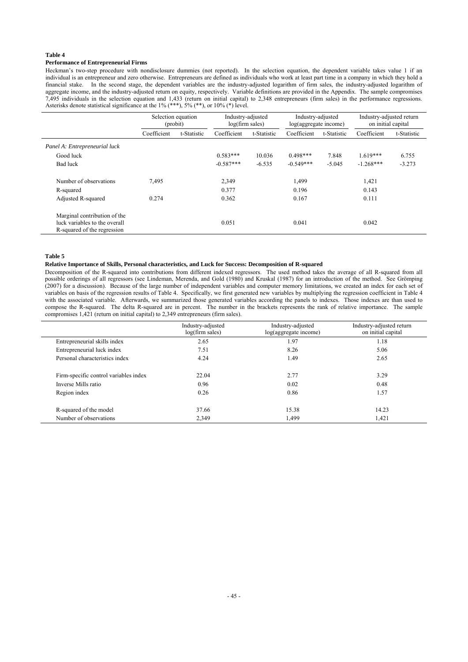### **Performance of Entrepreneurial Firms**

Heckman's two-step procedure with nondisclosure dummies (not reported). In the selection equation, the dependent variable takes value 1 if an individual is an entrepreneur and zero otherwise. Entrepreneurs are defined as individuals who work at least part time in a company in which they hold a financial stake. In the second stage, the dependent variables are the industry-adjusted logarithm of firm sales, the industry-adjusted logarithm of aggregate income, and the industry-adjusted return on equity, respectively. Variable definitions are provided in the Appendix. The sample compromises 7,495 individuals in the selection equation and 1,433 (return on initial capital) to 2,348 entrepreneurs (firm sales) in the performance regressions. Asterisks denote statistical significance at the  $1\%$  (\*\*\*),  $5\%$  (\*\*), or  $10\%$  (\*) level.

|                                                                                              | Selection equation<br>(probit) |             | Industry-adjusted<br>log(firm sales) |             | Industry-adjusted<br>log(aggregate income) |             | Industry-adjusted return<br>on initial capital |             |  |
|----------------------------------------------------------------------------------------------|--------------------------------|-------------|--------------------------------------|-------------|--------------------------------------------|-------------|------------------------------------------------|-------------|--|
|                                                                                              | Coefficient                    | t-Statistic | Coefficient                          | t-Statistic | Coefficient                                | t-Statistic | Coefficient                                    | t-Statistic |  |
| Panel A: Entrepreneurial luck                                                                |                                |             |                                      |             |                                            |             |                                                |             |  |
| Good luck                                                                                    |                                |             | $0.583***$                           | 10.036      | $0.498***$                                 | 7.848       | $1.619***$                                     | 6.755       |  |
| Bad luck                                                                                     |                                |             | $-0.587***$                          | $-6.535$    | $-0.549***$                                | $-5.045$    | $-1.268***$                                    | $-3.273$    |  |
| Number of observations                                                                       | 7,495                          |             | 2,349                                |             | 1,499                                      |             | 1,421                                          |             |  |
| R-squared                                                                                    |                                |             | 0.377                                |             | 0.196                                      |             | 0.143                                          |             |  |
| Adjusted R-squared                                                                           | 0.274                          |             | 0.362                                |             | 0.167                                      |             | 0.111                                          |             |  |
| Marginal contribution of the<br>luck variables to the overall<br>R-squared of the regression |                                |             | 0.051                                |             | 0.041                                      |             | 0.042                                          |             |  |

#### **Table 5**

#### **Relative Importance of Skills, Personal characteristics, and Luck for Success: Decomposition of R-squared**

Decomposition of the R-squared into contributions from different indexed regressors. The used method takes the average of all R-squared from all possible orderings of all regressors (see Lindeman, Merenda, and Gold (1980) and Kruskal (1987) for an introduction of the method. See Grömping (2007) for a discussion). Because of the large number of independent variables and computer memory limitations, we created an index for each set of variables on basis of the regression results of Table 4. Specifically, we first generated new variables by multiplying the regression coefficient in Table 4 with the associated variable. Afterwards, we summarized those generated variables according the panels to indexes. Those indexes are than used to compose the R-squared. The delta R-squared are in percent. The number in the brackets represents the rank of relative importance. The sample compromises 1,421 (return on initial capital) to 2,349 entrepreneurs (firm sales).

|                                       | Industry-adjusted<br>log(firm sales) | Industry-adjusted<br>log(aggregate income) | Industry-adjusted return<br>on initial capital |
|---------------------------------------|--------------------------------------|--------------------------------------------|------------------------------------------------|
| Entrepreneurial skills index          | 2.65                                 | 1.97                                       | 1.18                                           |
| Entrepreneurial luck index            | 7.51                                 | 8.26                                       | 5.06                                           |
| Personal characteristics index        | 4.24                                 | 1.49                                       | 2.65                                           |
| Firm-specific control variables index | 22.04                                | 2.77                                       | 3.29                                           |
| Inverse Mills ratio                   | 0.96                                 | 0.02                                       | 0.48                                           |
| Region index                          | 0.26                                 | 0.86                                       | 1.57                                           |
| R-squared of the model                | 37.66                                | 15.38                                      | 14.23                                          |
| Number of observations                | 2,349                                | 1,499                                      | 1,421                                          |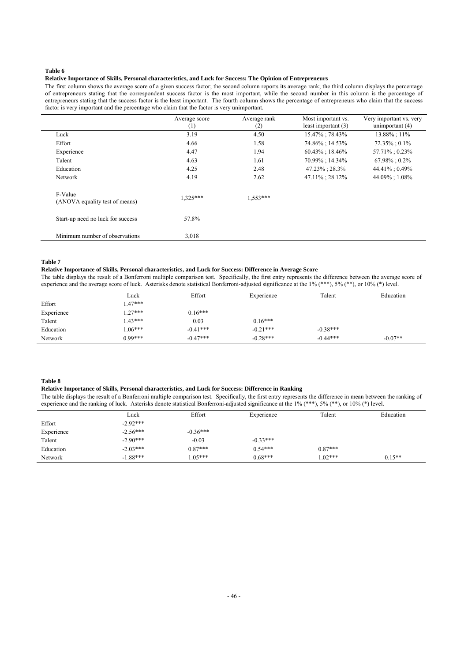#### **Relative Importance of Skills, Personal characteristics, and Luck for Success: The Opinion of Entrepreneurs**

The first column shows the average score of a given success factor; the second column reports its average rank; the third column displays the percentage of entrepreneurs stating that the correspondent success factor is the most important, while the second number in this column is the percentage of entrepreneurs stating that the success factor is the least important. The fourth column shows the percentage of entrepreneurs who claim that the success factor is very important and the percentage who claim that the factor is very unimportant.

|                                           | Average score<br>$^{(1)}$ | Average rank<br>(2) | Most important vs.<br>least important $(3)$ | Very important vs. very<br>unimportant $(4)$ |
|-------------------------------------------|---------------------------|---------------------|---------------------------------------------|----------------------------------------------|
| Luck                                      | 3.19                      | 4.50                | 15.47%; 78.43%                              | 13.88%; 11%                                  |
| Effort                                    | 4.66                      | 1.58                | 74.86%; 14.53%                              | $72.35\% : 0.1\%$                            |
| Experience                                | 4.47                      | 1.94                | $60.43\%$ ; 18.46%                          | 57.71%; 0.23%                                |
| Talent                                    | 4.63                      | 1.61                | 70.99%; 14.34%                              | $67.98\% : 0.2\%$                            |
| Education                                 | 4.25                      | 2.48                | 47.23%; 28.3%                               | 44.41%; 0.49%                                |
| <b>Network</b>                            | 4.19                      | 2.62                | 47.11%; 28.12%                              | 44.09%; 1.08%                                |
| F-Value<br>(ANOVA equality test of means) | $1.325***$                | $1.553***$          |                                             |                                              |
| Start-up need no luck for success         | 57.8%                     |                     |                                             |                                              |
| Minimum number of observations            | 3,018                     |                     |                                             |                                              |

#### **Table 7**

#### **Relative Importance of Skills, Personal characteristics, and Luck for Success: Difference in Average Score**

The table displays the result of a Bonferroni multiple comparison test. Specifically, the first entry represents the difference between the average score of experience and the average score of luck. Asterisks denote statistical Bonferroni-adjusted significance at the 1% (\*\*\*), 5% (\*\*), or 10% (\*) level.

|            | Luck      | Effort     | Experience | Talent     | Education |
|------------|-----------|------------|------------|------------|-----------|
| Effort     | $.47***$  |            |            |            |           |
| Experience | $.27***$  | $0.16***$  |            |            |           |
| Talent     | $.43***$  | 0.03       | $0.16***$  |            |           |
| Education  | $.06***$  | $-0.41***$ | $-0.21***$ | $-0.38***$ |           |
| Network    | $0.99***$ | $-0.47***$ | $-0.28***$ | $-0.44***$ | $-0.07**$ |

#### **Table 8**

#### **Relative Importance of Skills, Personal characteristics, and Luck for Success: Difference in Ranking**

The table displays the result of a Bonferroni multiple comparison test. Specifically, the first entry represents the difference in mean between the ranking of experience and the ranking of luck. Asterisks denote statistical Bonferroni-adjusted significance at the 1% (\*\*\*), 5% (\*\*), or 10% (\*) level.

|            | Luck       | Effort     | Experience | Talent    | Education |
|------------|------------|------------|------------|-----------|-----------|
| Effort     | $-2.92***$ |            |            |           |           |
| Experience | $-2.56***$ | $-0.36***$ |            |           |           |
| Talent     | $-2.90***$ | $-0.03$    | $-0.33***$ |           |           |
| Education  | $-2.03***$ | $0.87***$  | $0.54***$  | $0.87***$ |           |
| Network    | $-1.88***$ | $1.05***$  | $0.68***$  | $1.02***$ | $0.15**$  |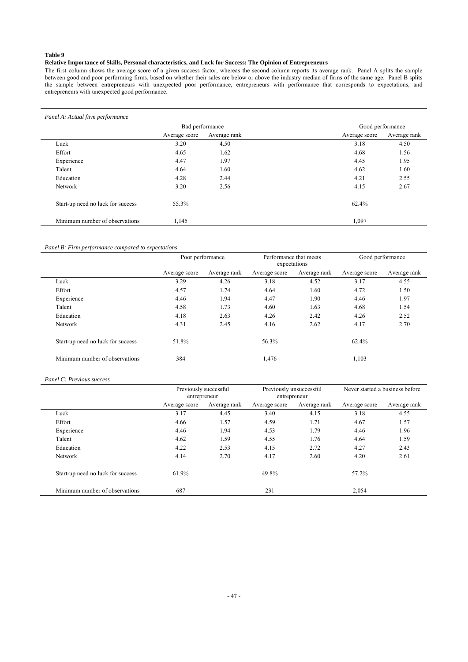### **Relative Importance of Skills, Personal characteristics, and Luck for Success: The Opinion of Entrepreneurs**

The first column shows the average score of a given success factor, whereas the second column reports its average rank. Panel A splits the sample between good and poor performing firms, based on whether their sales are below or above the industry median of firms of the same age. Panel B splits the sample between entrepreneurs with unexpected poor performance, entrepreneurs with performance that corresponds to expectations, and entrepreneurs with unexpected good performance.

|                                   |               | Bad performance | Good performance |              |
|-----------------------------------|---------------|-----------------|------------------|--------------|
|                                   | Average score | Average rank    | Average score    | Average rank |
| Luck                              | 3.20          | 4.50            | 3.18             | 4.50         |
| Effort                            | 4.65          | 1.62            | 4.68             | 1.56         |
| Experience                        | 4.47          | 1.97            | 4.45             | 1.95         |
| Talent                            | 4.64          | 1.60            | 4.62             | 1.60         |
| Education                         | 4.28          | 2.44            | 4.21             | 2.55         |
| Network                           | 3.20          | 2.56            | 4.15             | 2.67         |
| Start-up need no luck for success | 55.3%         |                 | 62.4%            |              |
| Minimum number of observations    | 1,145         |                 | 1,097            |              |

### *Panel B: Firm performance compared to expectations*

|                                   |               | Poor performance | Performance that meets<br>expectations |              |               | Good performance |
|-----------------------------------|---------------|------------------|----------------------------------------|--------------|---------------|------------------|
|                                   | Average score | Average rank     | Average score                          | Average rank | Average score | Average rank     |
| Luck                              | 3.29          | 4.26             | 3.18                                   | 4.52         | 3.17          | 4.55             |
| Effort                            | 4.57          | 1.74             | 4.64                                   | 1.60         | 4.72          | 1.50             |
| Experience                        | 4.46          | 1.94             | 4.47                                   | 1.90         | 4.46          | 1.97             |
| Talent                            | 4.58          | 1.73             | 4.60                                   | 1.63         | 4.68          | 1.54             |
| Education                         | 4.18          | 2.63             | 4.26                                   | 2.42         | 4.26          | 2.52             |
| Network                           | 4.31          | 2.45             | 4.16                                   | 2.62         | 4.17          | 2.70             |
| Start-up need no luck for success | 51.8%         |                  | 56.3%                                  |              | 62.4%         |                  |
| Minimum number of observations    | 384           |                  | 1,476                                  |              | 1,103         |                  |

#### *Panel C: Previous success*

|                                   | Previously successful<br>entrepreneur |              | Previously unsuccessful | entrepreneur |               | Never started a business before |
|-----------------------------------|---------------------------------------|--------------|-------------------------|--------------|---------------|---------------------------------|
|                                   | Average score                         | Average rank | Average score           | Average rank | Average score | Average rank                    |
| Luck                              | 3.17                                  | 4.45         | 3.40                    | 4.15         | 3.18          | 4.55                            |
| Effort                            | 4.66                                  | 1.57         | 4.59                    | 1.71         | 4.67          | 1.57                            |
| Experience                        | 4.46                                  | 1.94         | 4.53                    | 1.79         | 4.46          | 1.96                            |
| Talent                            | 4.62                                  | 1.59         | 4.55                    | 1.76         | 4.64          | 1.59                            |
| Education                         | 4.22                                  | 2.53         | 4.15                    | 2.72         | 4.27          | 2.43                            |
| Network                           | 4.14                                  | 2.70         | 4.17                    | 2.60         | 4.20          | 2.61                            |
| Start-up need no luck for success | 61.9%                                 |              | 49.8%                   |              | 57.2%         |                                 |
| Minimum number of observations    | 687                                   |              | 231                     |              | 2,054         |                                 |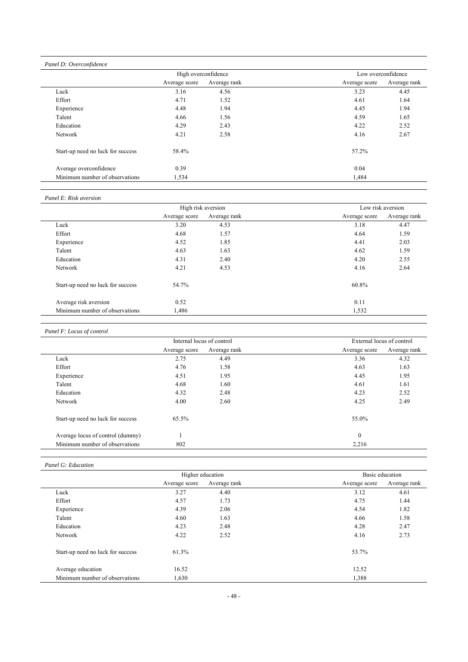*Panel D: Overconfidence* 

|                                   | High overconfidence |              | Low overconfidence |              |
|-----------------------------------|---------------------|--------------|--------------------|--------------|
|                                   | Average score       | Average rank | Average score      | Average rank |
| Luck                              | 3.16                | 4.56         | 3.23               | 4.45         |
| Effort                            | 4.71                | 1.52         | 4.61               | 1.64         |
| Experience                        | 4.48                | 1.94         | 4.45               | 1.94         |
| Talent                            | 4.66                | 1.56         | 4.59               | 1.65         |
| Education                         | 4.29                | 2.43         | 4.22               | 2.52         |
| Network                           | 4.21                | 2.58         | 4.16               | 2.67         |
| Start-up need no luck for success | 58.4%               |              | 57.2%              |              |
| Average overconfidence            | 0.39                |              | 0.04               |              |
| Minimum number of observations    | 1,534               |              | 1,484              |              |

### *Panel E: Risk aversion*

|                                   |               | High risk aversion |               | Low risk aversion |
|-----------------------------------|---------------|--------------------|---------------|-------------------|
|                                   | Average score | Average rank       | Average score | Average rank      |
| Luck                              | 3.20          | 4.53               | 3.18          | 4.47              |
| Effort                            | 4.68          | 1.57               | 4.64          | 1.59              |
| Experience                        | 4.52          | 1.85               | 4.41          | 2.03              |
| Talent                            | 4.63          | 1.63               | 4.62          | 1.59              |
| Education                         | 4.31          | 2.40               | 4.20          | 2.55              |
| Network                           | 4.21          | 4.53               | 4.16          | 2.64              |
| Start-up need no luck for success | 54.7%         |                    | 60.8%         |                   |
| Average risk aversion             | 0.52          |                    | 0.11          |                   |
| Minimum number of observations    | 1,486         |                    | 1,532         |                   |

### *Panel F: Locus of control*

|                                   | Internal locus of control |              | External locus of control |              |
|-----------------------------------|---------------------------|--------------|---------------------------|--------------|
|                                   | Average score             | Average rank | Average score             | Average rank |
| Luck                              | 2.75                      | 4.49         | 3.36                      | 4.32         |
| Effort                            | 4.76                      | 1.58         | 4.63                      | 1.63         |
| Experience                        | 4.51                      | 1.95         | 4.45                      | 1.95         |
| Talent                            | 4.68                      | 1.60         | 4.61                      | 1.61         |
| Education                         | 4.32                      | 2.48         | 4.23                      | 2.52         |
| <b>Network</b>                    | 4.00                      | 2.60         | 4.25                      | 2.49         |
| Start-up need no luck for success | 65.5%                     |              | 55.0%                     |              |
| Average locus of control (dummy)  |                           |              | $\mathbf{0}$              |              |
| Minimum number of observations    | 802                       |              | 2,216                     |              |

### *Panel G: Education*

|                                   | Higher education |              | Basic education |              |
|-----------------------------------|------------------|--------------|-----------------|--------------|
|                                   | Average score    | Average rank | Average score   | Average rank |
| Luck                              | 3.27             | 4.40         | 3.12            | 4.61         |
| Effort                            | 4.57             | 1.73         | 4.75            | 1.44         |
| Experience                        | 4.39             | 2.06         | 4.54            | 1.82         |
| Talent                            | 4.60             | 1.63         | 4.66            | 1.58         |
| Education                         | 4.23             | 2.48         | 4.28            | 2.47         |
| Network                           | 4.22             | 2.52         | 4.16            | 2.73         |
| Start-up need no luck for success | 61.3%            |              | 53.7%           |              |
| Average education                 | 16.52            |              | 12.52           |              |
| Minimum number of observations    | 1,630            |              | 1,388           |              |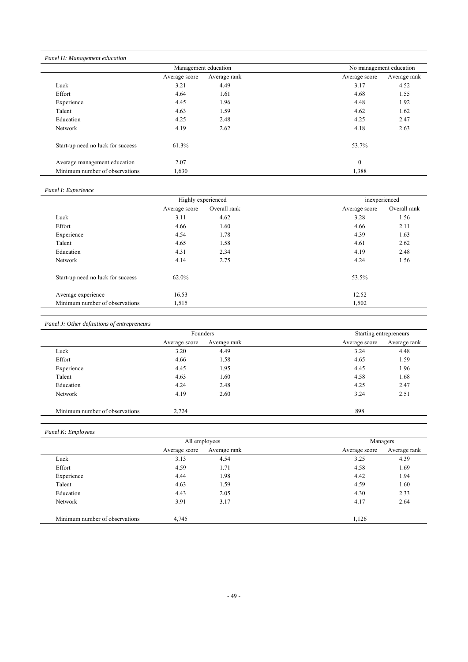### *Panel H: Management education*

|                                   | Management education |              | No management education |              |
|-----------------------------------|----------------------|--------------|-------------------------|--------------|
|                                   | Average score        | Average rank | Average score           | Average rank |
| Luck                              | 3.21                 | 4.49         | 3.17                    | 4.52         |
| Effort                            | 4.64                 | 1.61         | 4.68                    | 1.55         |
| Experience                        | 4.45                 | 1.96         | 4.48                    | 1.92         |
| Talent                            | 4.63                 | 1.59         | 4.62                    | 1.62         |
| Education                         | 4.25                 | 2.48         | 4.25                    | 2.47         |
| Network                           | 4.19                 | 2.62         | 4.18                    | 2.63         |
| Start-up need no luck for success | 61.3%                |              | 53.7%                   |              |
| Average management education      | 2.07                 |              | $\mathbf{0}$            |              |
| Minimum number of observations    | 1,630                |              | 1,388                   |              |

### *Panel I: Experience*

|                                   | Highly experienced |              | inexperienced |              |
|-----------------------------------|--------------------|--------------|---------------|--------------|
|                                   | Average score      | Overall rank | Average score | Overall rank |
| Luck                              | 3.11               | 4.62         | 3.28          | 1.56         |
| Effort                            | 4.66               | 1.60         | 4.66          | 2.11         |
| Experience                        | 4.54               | 1.78         | 4.39          | 1.63         |
| Talent                            | 4.65               | 1.58         | 4.61          | 2.62         |
| Education                         | 4.31               | 2.34         | 4.19          | 2.48         |
| Network                           | 4.14               | 2.75         | 4.24          | 1.56         |
| Start-up need no luck for success | 62.0%              |              | 53.5%         |              |
| Average experience                | 16.53              |              | 12.52         |              |
| Minimum number of observations    | 1,515              |              | 1,502         |              |

### *Panel J: Other definitions of entrepreneurs*

|                                |               | Founders     | Starting entrepreneurs |              |
|--------------------------------|---------------|--------------|------------------------|--------------|
|                                | Average score | Average rank | Average score          | Average rank |
| Luck                           | 3.20          | 4.49         | 3.24                   | 4.48         |
| Effort                         | 4.66          | 1.58         | 4.65                   | 1.59         |
| Experience                     | 4.45          | 1.95         | 4.45                   | 1.96         |
| Talent                         | 4.63          | 1.60         | 4.58                   | 1.68         |
| Education                      | 4.24          | 2.48         | 4.25                   | 2.47         |
| Network                        | 4.19          | 2.60         | 3.24                   | 2.51         |
| Minimum number of observations | 2,724         |              | 898                    |              |

### *Panel K: Employees*

|                                | All employees |              |               | Managers     |
|--------------------------------|---------------|--------------|---------------|--------------|
|                                | Average score | Average rank | Average score | Average rank |
| Luck                           | 3.13          | 4.54         | 3.25          | 4.39         |
| Effort                         | 4.59          | 1.71         | 4.58          | 1.69         |
| Experience                     | 4.44          | 1.98         | 4.42          | 1.94         |
| Talent                         | 4.63          | 1.59         | 4.59          | 1.60         |
| Education                      | 4.43          | 2.05         | 4.30          | 2.33         |
| Network                        | 3.91          | 3.17         | 4.17          | 2.64         |
| Minimum number of observations | 4,745         |              | 1,126         |              |